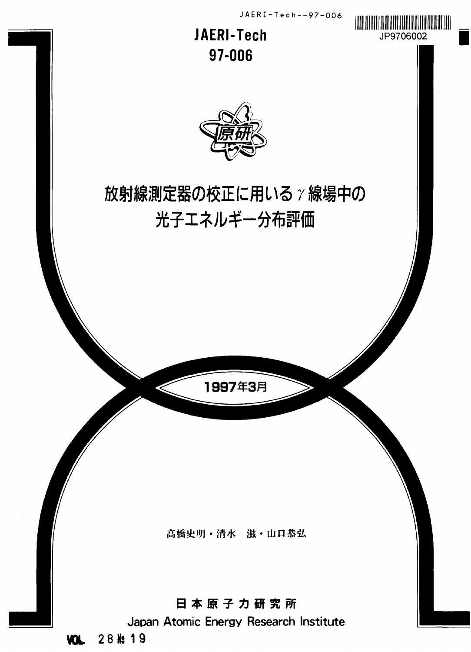

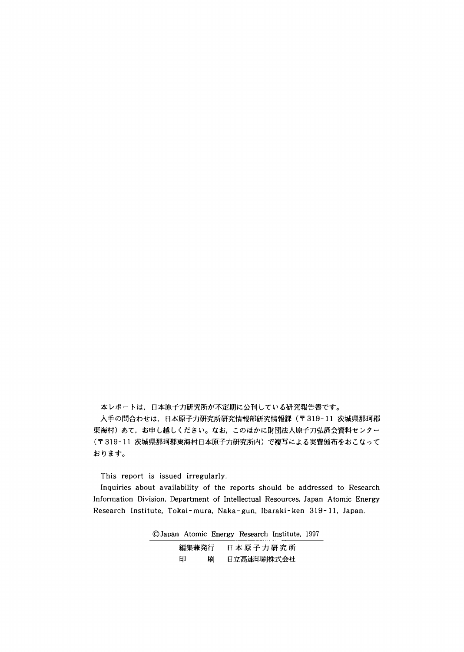本レポートは、日本原子力研究所が不定期に公刊している研究報告書です。

**│ 入手の問合わせは,日本原子力研究所研究情報部研究情報課(〒319-11 茨城県那珂郡**<br>東海村)あて,お申し越しください。なお,このほかに財団法人原子力弘済会資料センター (〒319-11 茨城県那珂郡東海村日本原子力研究所内)で複写による実費頒布をおこなって おります。

This report is issued irregularly.

Inquiries about availability of the reports should be addressed to Research Information Division, Department of Intellectual Resources, Japan Atomic Energy Research Institute, Tokai-mura, Naka-gun, Ibaraki-ken 319-11, Japan.

©Japan Atomic Energy Research Institute, 1997

| 編集兼発行 |   | 日本原子力研究所   |
|-------|---|------------|
| 印     | 刷 | 日立高速印刷株式会社 |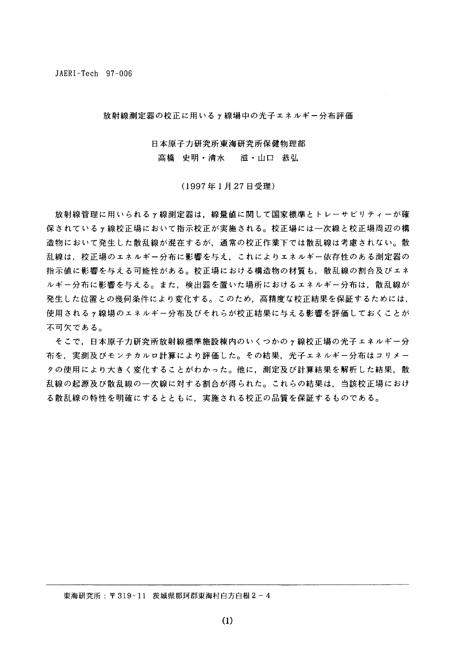JAERI-Tech 97-006

放射線測定器の校正に用いるγ線場中の光子エネルギー分布評価

日本原子力研究所東海研究所保健物理部

高橋 史明・清水 滋・山口 恭弘

(1997年1月27日受理)

放射線管理に用いられるγ線測定器は、線量値に関して国家標準とトレーサビリティーが確 保されているヶ線校正場において指示校正が実施される。校正場には一次線と校正場周辺の構 造物において発生した散乱線が混在するが、通常の校正作業下では散乱線は考慮されない。散 乱線は,校正場のエネルギー分布に影響を与え,これによりエネルギー依存性のある測定器の 指示値に影響を与える可能性がある。校正場における構造物の材質も,散乱線の割合及びエネ ルギー分布に影響を与える。また、検出器を置いた場所におけるエネルギー分布は、散乱線が 発生した位置との幾何条件により変化する。このため、高精度な校正結果を保証するためには、 使用されるγ線場のエネルギー分布及びそれらが校正結果に与える影響を評価しておくことが 不可欠である。

そこで,日本原子力研究所放射線標準施設棟内のいくつかのγ線校正場の光子エネルギー分 布を,実測及びモンテカルロ計算により評価した。その結果,光子エネルギー分布はコリメー タの使用により大きく変化することがわかった。他に,測定及び計算結果を解析した結果,散 乱線の起源及び散乱線の一次線に対する割合が得られた。これらの結果は,当該校正場におけ る散乱線の特性を明確にするとともに、実施される校正の品質を保証するものである。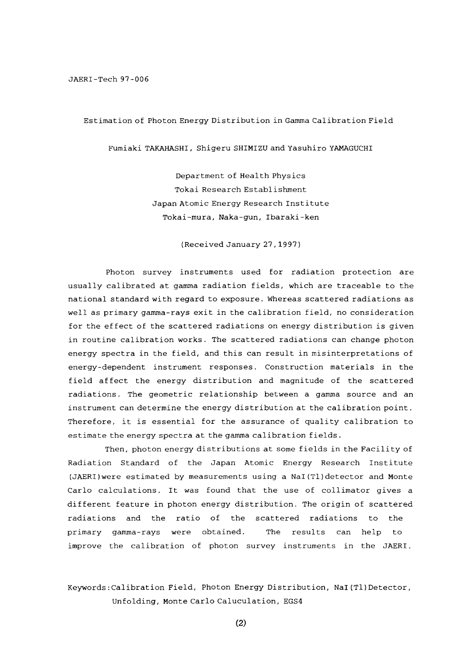### Estimation of Photon Energy Distribution in Gamma Calibration Field

Fumiaki TAKAHASHI, Shigeru SHIMIZU and Yasuhiro YAMAGUCHI

Department of Health Physics Tokai Research Establishment Japan Atomic Energy Research Institute Tokai-mura, Naka-gun, Ibaraki-ken

(Received January 27,1997)

Photon survey instruments used for radiation protection are usually calibrated at gamma radiation fields, which are traceable to the national standard with regard to exposure. Whereas scattered radiations as well as primary gamma-rays exit in the calibration field, no consideration for the effect of the scattered radiations on energy distribution is given in routine calibration works. The scattered radiations can change photon energy spectra in the field, and this can result in misinterpretations of energy-dependent instrument responses. Construction materials in the field affect the energy distribution and magnitude of the scattered radiations. The geometric relationship between a gamma source and an instrument can determine the energy distribution at the calibration point. Therefore, it is essential for the assurance of quality calibration to estimate the energy spectra at the gamma calibration fields.

Then, photon energy distributions at some fields in the Facility of Radiation Standard of the Japan Atomic Energy Research Institute (JAERI)were estimated by measurements using a Nal(Tl)detector and Monte Carlo calculations. It was found that the use of collimator gives a different feature in photon energy distribution. The origin of scattered radiations and the ratio of the scattered radiations to the primary gamma-rays were obtained. The results can help to improve the calibration of photon survey instruments in the JAERI.

## Keywords:Calibration Field, Photon Energy Distribution, Nal(Tl)Detector, Unfolding, Monte Carlo Caluculation, EGS4

(2)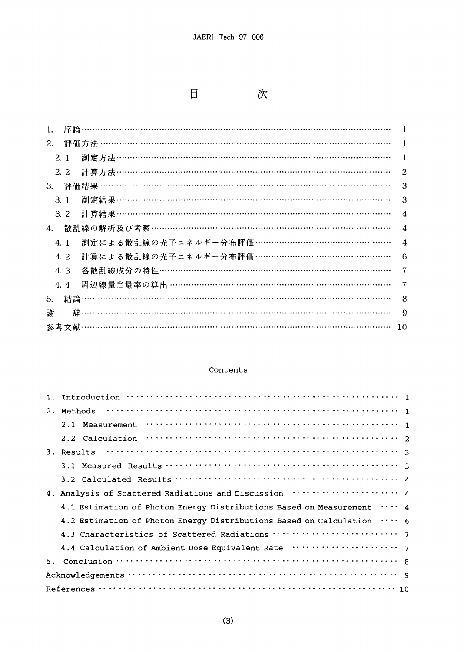$\boxminus$ 

次

| 2. |     |                                            |                        |
|----|-----|--------------------------------------------|------------------------|
|    | 2.1 |                                            |                        |
|    | 2.2 | 計算方法 …………………………………………………………………………………………    | 2                      |
| 3. |     | 評価結果 ……………………………………………………………………………………………   | З                      |
|    | 3.1 |                                            | 3                      |
|    | 3.2 | 計算結果………………………………………………………………………………………      | 4                      |
| 4. |     | 散乱線の解析及び考察 ………………………………………………………………………………  | 4                      |
|    | 4.1 | 測定による散乱線の光子エネルギー分布評価 …………………………………………      | $\boldsymbol{\Lambda}$ |
|    | 4.2 | 計算による散乱線の光子エネルギー分布評価 …………………………………………      | 6                      |
|    | 4.3 | 各散乱線成分の特性……………………………………………………………………………     | 7                      |
|    | 4.4 | 周辺線量当量率の算出 ………………………………………………………………………………… | 7                      |
| 5. |     |                                            | 8                      |
| 謝  | 辞   |                                            | 9                      |
|    |     |                                            | 10                     |

### Contents

| $1 \cdot$<br>Methods<br>2.<br>2.1<br>Measurement<br>$\mathbf{1}$<br>2.2 Calculation<br>3. Results<br>4. Analysis of Scattered Radiations and Discussion  4<br>$\cdots$ 4<br>4.1 Estimation of Photon Energy Distributions Based on Measurement<br>4.2 Estimation of Photon Energy Distributions Based on Calculation<br>$\cdots$ 6<br>4.4 Calculation of Ambient Dose Equivalent Rate ···················· 7<br>5. |  |  |
|--------------------------------------------------------------------------------------------------------------------------------------------------------------------------------------------------------------------------------------------------------------------------------------------------------------------------------------------------------------------------------------------------------------------|--|--|
|                                                                                                                                                                                                                                                                                                                                                                                                                    |  |  |
|                                                                                                                                                                                                                                                                                                                                                                                                                    |  |  |
|                                                                                                                                                                                                                                                                                                                                                                                                                    |  |  |
|                                                                                                                                                                                                                                                                                                                                                                                                                    |  |  |
|                                                                                                                                                                                                                                                                                                                                                                                                                    |  |  |
|                                                                                                                                                                                                                                                                                                                                                                                                                    |  |  |
|                                                                                                                                                                                                                                                                                                                                                                                                                    |  |  |
|                                                                                                                                                                                                                                                                                                                                                                                                                    |  |  |
|                                                                                                                                                                                                                                                                                                                                                                                                                    |  |  |
|                                                                                                                                                                                                                                                                                                                                                                                                                    |  |  |
|                                                                                                                                                                                                                                                                                                                                                                                                                    |  |  |
|                                                                                                                                                                                                                                                                                                                                                                                                                    |  |  |
|                                                                                                                                                                                                                                                                                                                                                                                                                    |  |  |
|                                                                                                                                                                                                                                                                                                                                                                                                                    |  |  |
|                                                                                                                                                                                                                                                                                                                                                                                                                    |  |  |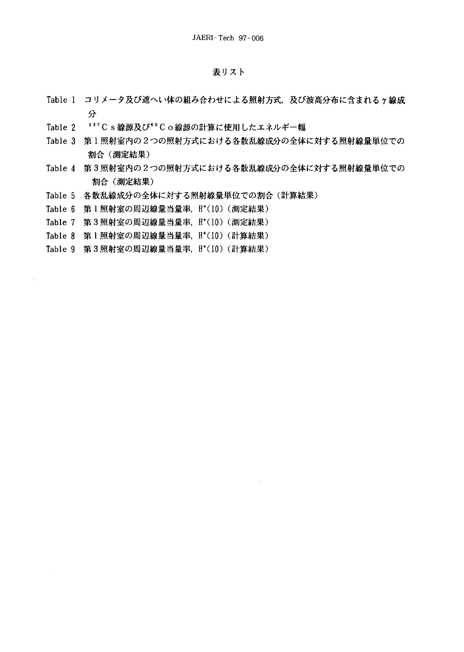### 表リスト

- Table 1 コリメータ及び遮へい体の組み合わせによる照射方式、及び波高分布に含まれる γ 線成 分
- Table 2 137Cs線源及び60Co線源の計算に使用したエネルギー幅
- Table 3 第1照射室内の2つの照射方式における各散乱線成分の全体に対する照射線量単位での 割合 (測定結果)
- Table 4 第3照射室内の2つの照射方式における各散乱線成分の全体に対する照射線量単位での 割合 (測定結果)
- Table 5 各散乱線成分の全体に対する照射線量単位での割合(計算結果)
- Table 6 第1照射室の周辺線量当量率, H\*(10) (測定結果)
- Table 7 第3照射室の周辺線量当量率, H\*(10) (測定結果)
- Table 8 第1照射室の周辺線量当量率, H\*(10) (計算結果)
- Table 9 第3照射室の周辺線量当量率, H\*(10) (計算結果)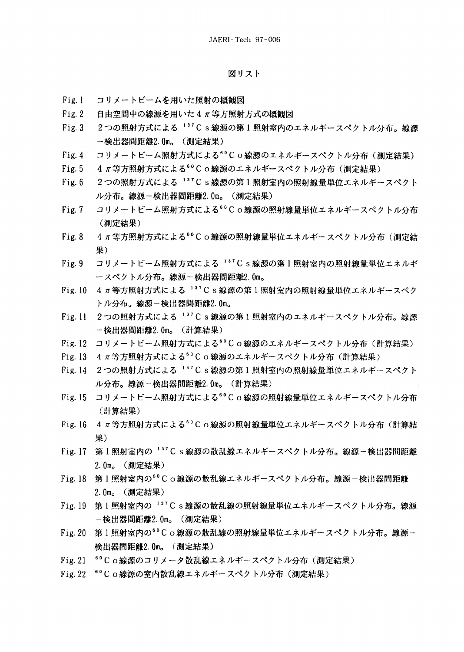### 図リスト

- コリメートビームを用いた照射の概観図  $Fig. 1$
- 自由空間中の線源を用いた4π等方照射方式の概観図  $Fig. 2$
- $Fig. 3$ 2つの照射方式による 137Cs線源の第1照射室内のエネルギースペクトル分布。線源 一検出器間距離2.0m。 (測定結果)
- $Fig. 4$ コリメートビーム照射方式による<sup>6</sup>°Co線源のエネルギースペクトル分布 (測定結果)
- 4 π等方照射方式による<sup>60</sup>Co線源のエネルギースペクトル分布 (測定結果)  $Fig. 5$
- $Fig. 6$ 2つの照射方式による 137Cs線源の第1照射室内の照射線量単位エネルギースペクト ル分布。線源-検出器間距離2.0m。(測定結果)
- コリメートビーム照射方式による<sup>60</sup>Co線源の照射線量単位エネルギースペクトル分布  $Fig. 7$ (測定結果)
- 4π等方照射方式による<sup>6</sup>°C o 線源の照射線量単位エネルギースペクトル分布(測定結  $Fig. 8$ 果)
- $Fig. 9$ コリメートビーム照射方式による 137C s 線源の第1照射室内の照射線量単位エネルギ ースペクトル分布。線源-検出器間距離2.0m。
- Fig. 10 4 π等方照射方式による 137 C s 線源の第1照射室内の照射線量単位エネルギースペク トル分布。線源-検出器間距離2.0m。
- Fig. 11 2つの照射方式による <sup>137</sup>Cs線源の第1照射室内のエネルギースペクトル分布。線源 一検出器間距離2.0m。(計算結果)
- Fig. 12 コリメートビーム照射方式による<sup>6</sup>°Co線源のエネルギースペクトル分布(計算結果)
- Fig. 13 4π等方照射方式による<sup>6</sup>°Cο線源のエネルギースペクトル分布(計算結果)
- Fig. 14 2つの照射方式による 137 C s 線源の第1照射室内の照射線量単位エネルギースペクト ル分布。線源-検出器間距離2.0m。 (計算結果)
- Fig. 15 コリメートビーム照射方式による<sup>60</sup>Co線源の照射線量単位エネルギースペクトル分布 (計算結果)
- Fig. 16 4 π等方照射方式による<sup>6</sup>°C o線源の照射線量単位エネルギースペクトル分布 (計算結 果)
- Fig. 17 第1照射室内の<sup>137</sup>Cs線源の散乱線エネルギースペクトル分布。線源-検出器間距離 2.0m。 (測定結果)
- Fig. 18 第1照射室内の<sup>60</sup>Co線源の散乱線エネルギースペクトル分布。線源-検出器間距離 2.0m。(測定結果)
- Fig. 19 第1照射室内の<sup>137</sup>Cs線源の散乱線の照射線量単位エネルギースペクトル分布。線源 -検出器間距離2.0m。(測定結果)
- Fig. 20 第1照射室内の<sup>60</sup>Co線源の散乱線の照射線量単位エネルギースペクトル分布。線源一 検出器間距離2.0m。(測定結果)
- Fig. 21 <sup>60</sup>C o線源のコリメータ散乱線エネルギースペクトル分布 (測定結果)
- Fig. 22 60 C o 線源の室内散乱線エネルギースペクトル分布 (測定結果)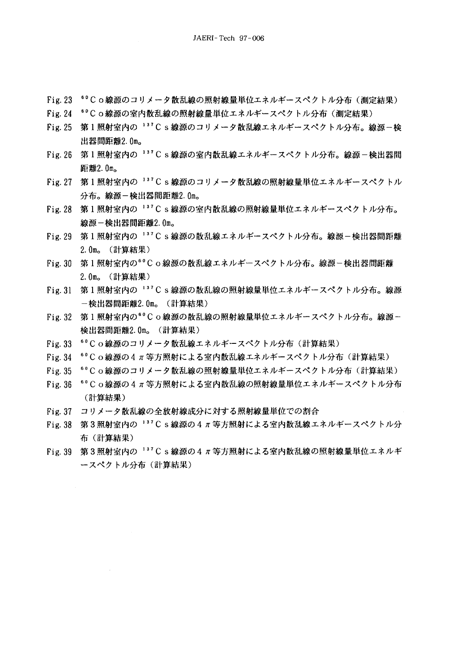- Fig. 23 <sup>60</sup>Co線源のコリメータ散乱線の照射線量単位エネルギースペクトル分布(測定結果)
- Fig. 24 <sup>60</sup>Co線源の室内散乱線の照射線量単位エネルギースペクトル分布 (測定結果)
- Fig. 25 第1照射室内の 137C s 線源のコリメータ散乱線エネルギースペクトル分布。線源一検 出器間距離2.0m。
- Fig. 26 第1照射室内の<sup>137</sup>Cs線源の室内散乱線エネルギースペクトル分布。線源-検出器間 距離2.0mg
- Fig. 27 第1照射室内の<sup>137</sup>Cs線源のコリメータ散乱線の照射線量単位エネルギースペクトル 分布。線源-検出器間距離2.0m。
- Fig. 28 第1照射室内の 137 C s 線源の室内散乱線の照射線量単位エネルギースペクトル分布。 線源一検出器間距離2.0m。
- Fig. 29 第1照射室内の 137 C s 線源の散乱線エネルギースペクトル分布。線源-検出器間距離 2.0m。 (計算結果)
- Fig. 30 第1照射室内の<sup>60</sup>Co線源の散乱線エネルギースペクトル分布。線源-検出器間距離 2.0m. (計算結果)
- Fig. 31 第1照射室内の 137 C s 線源の散乱線の照射線量単位エネルギースペクトル分布。線源 一検出器間距離2.0m。 (計算結果)
- Fig. 32 第1照射室内の<sup>60</sup>Co線源の散乱線の照射線量単位エネルギースペクトル分布。線源-検出器間距離2.0m。(計算結果)
- Fig. 33 60 C o 線源のコリメータ散乱線エネルギースペクトル分布 (計算結果)
- Fig. 34 60 C o 線源の4π等方照射による室内散乱線エネルギースペクトル分布(計算結果)
- <sup>60</sup>Co線源のコリメータ散乱線の照射線量単位エネルギースペクトル分布(計算結果)  $Fig. 35$
- Fig. 36 <sup>60</sup> C o 線源の4 π 等方照射による室内散乱線の照射線量単位エネルギースペクトル分布 (計算結果)
- Fig. 37 コリメータ散乱線の全放射線成分に対する照射線量単位での割合
- Fig. 38 第3照射室内の<sup>137</sup>C s線源の4  $\pi$  等方照射による室内散乱線エネルギースペクトル分 布(計算結果)
- Fig. 39 第3照射室内の <sup>137</sup> C s 線源の4 π 等方照射による室内散乱線の照射線量単位エネルギ ースペクトル分布 (計算結果)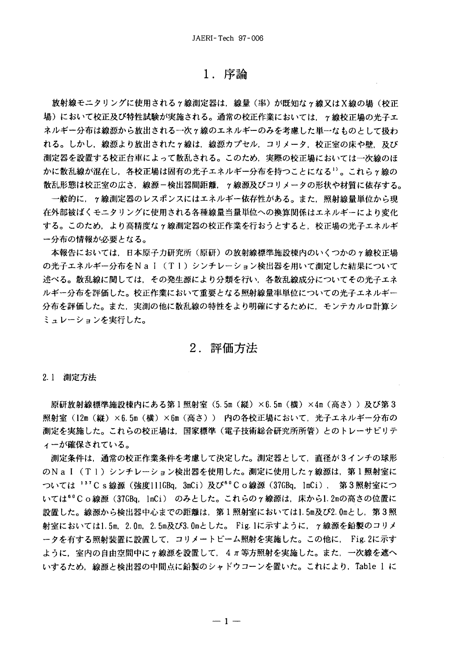## **1.**

放射線モニタリングに使用されるヶ線測定器は,線量(率)が既知なヶ線又はX線の場(校正 場)において校正及び特性試験が実施される。通常の校正作業においては、γ線校正場の光子エ ネルギー分布は線源から放出される一次γ線のエネルギーのみを考慮した単一なものとして扱わ れる。しかし、線源より放出されたγ線は、線源カプセル、コリメータ、校正室の床や壁、及び 測定器を設置する校正台車によって散乱される。このため、実際の校正場においては一次線のほ かに散乱線が混在し,各校正場は固有の光子エネルギー分布を持つことになる<sup>1)</sup>。これらヶ線の 散乱形態は校正室の広さ,線源-検出器間距離,γ線源及びコリメータの形状や材質に依存する。

一般的に,γ線測定器のレスポンスにはエネルギー依存性がある。また,照射線量単位から現 在外部被ばくモニタリングに使用される各種線量当量単位への換算関係はエネルギーにより変化 する。このため,より高精度なγ線測定器の校正作業を行おうとすると,校正場の光子エネルギ ー分布の情報が必要となる。

本報告においては、日本原子力研究所(原研)の放射線標準施設棟内のいくつかのγ線校正場 の光子エネルギー分布をNal(Tl)シンチレーション検出器を用いて測定した結果について 述べる。散乱線に関しては,その発生源により分類を行い,各散乱線成分についてその光子エネ ルギー分布を評価した。校正作業において重要となる照射線量率単位についての光子エネルギー 分布を評価した。また,実測の他に散乱線の特性をより明確にするために,モンテカルロ計算シ ミュレーションを実行した。

## **2.**

2.1 測定方法

原研放射線標準施設棟内にある第1照射室(5.5m(縦)×6.5m(横)×4m(高さ))及び第3 照射室(12m(縦)×6.5m(横)×6m(高さ)) 内の各校正場において,光子エネルギー分布の 測定を実施した。これらの校正場は,国家標準(電子技術総合研究所所管)とのトレーサビリテ ィーが確保されている。

測定条件は,通常の校正作業条件を考慮して決定した。測定器として,直径が3インチの球形 のNal(Tl)シンチレーション検出器を使用した。測定に使用したγ線源は,第1照射室に ついては <sup>137</sup> C s 線源 (強度111GBq, 3mCi) 及び<sup>60</sup> C o 線源 (37GBq, 1mCi) , 第3照射室につ いては<sup>60</sup>Co線源(37GBq, lmCi) のみとした。これらのγ線源は,床から1.2mの高さの位置に 設置した。線源から検出器中心までの距離は,第1照射室においては1.5m及び2.0mとし,第3照 射室においては1.5m, 2.0m, 2.5m及び3.0mとした。 Fig. 1に示すように, γ線源を鉛製のコリメ ータを有する照射装置に設置して、コリメートビーム照射を実施した。この他に、 Fig. 2に示す ように、室内の自由空間中にγ線源を設置して、4π等方照射を実施した。また、一次線を遮へ いするため、線源と検出器の中間点に鉛製のシャドウコーンを置いた。これにより、Table 1 に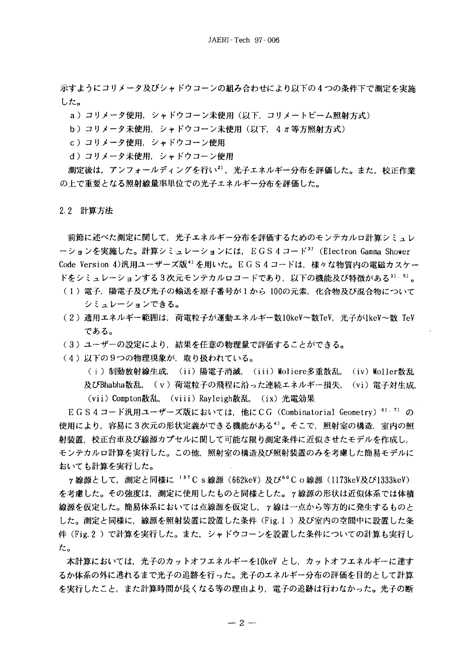示すようにコリメータ及びシャドウコーンの組み合わせにより以下の4つの条件下で測定を実施 した。

a) コリメータ使用,シャドウコーン未使用(以下,コリメートビーム照射方式)

b) コリメータ未使用, シャドウコーン未使用 (以下, 4π等方照射方式)

- c)コリメータ使用、シャドウコーン使用
- d) コリメータ未使用. シャドウコーン使用

測定後は、アンフォールディングを行い2)、光子エネルギー分布を評価した。また、校正作業 の上で重要となる照射線量率単位での光子エネルギー分布を評価した。

2.2 計算方法

前節に述べた測定に関して、光子エネルギー分布を評価するためのモンテカルロ計算シミュレ ーションを実施した。計算シミュレーションには、EGS4コード<sup>3)</sup> (Electron Gamma Shower Code Version 4)汎用ユーザーズ版<sup>4)</sup>を用いた。EGS4コードは、様々な物質内の電磁カスケー ドをシミュレーションする3次元モンテカルロコードであり,以下の機能及び特徴がある<sup>3).5)</sup>。

- (1)電子,陽電子及び光子の輸送を原子番号が1から 100の元素,化合物及び混合物について シミュレーションできる。
- (2) 適用エネルギー範囲は、荷電粒子が運動エネルギー数10keV~数TeV, 光子が1keV~数 TeV である。
- (3) ユーザーの設定により、結果を任意の物理量で評価することができる。
- (4)以下の9つの物理現象が、取り扱われている。

( i )制動放射線生成,(i i )陽電子消滅,(i i i )Moliere多重散乱,(iv)Moller散乱 及びBhabha散乱, (v)荷電粒子の飛程に沿った連続エネルギー損失, (vi)電子対生成. (vii) Compton散乱, (viii) Rayleigh散乱, (ix) 光電効果

EGS4コード汎用ユーザーズ版においては、他にCG(Combinatorial Geometry)6).7) の 使用により,容易に3次元の形状定義ができる機能がある<sup>4)</sup>。そこで,照射室の構造,室内の照 射装置,校正台車及び線源カプセルに関して可能な限り測定条件に近似させたモデルを作成し, モンテカルロ計算を実行した。この他、照射室の構造及び照射装置のみを考慮した簡易モデルに おいても計算を実行した。

γ線源として,測定と同様に '3'C s 線源(662keV)及び<sup>60</sup>C o 線源(1173keV及び1333keV) を考慮した。その強度は,測定に使用したものと同様とした。γ線源の形状は近似体系では体**積** 線源を仮定した。簡易体系においては点線源を仮定し,γ線は一点から等方的に発生するものと した。測定と同様に,線源を照射装置に設置した条件(Fig. 1 )及び室内の空間中に設置した条 件 (Fig. 2) で計算を実行した。また、シャドウコーンを設置した条件についての計算も実行し た。

本計算においては,光子のカットオフエネルギーを10keV とし,カットオフエネルギーに達す るか体系の外に逃れるまで光子の追跡を行った。光子のエネルギー分布の評価を目的として計算 を実行したこと、また計算時間が長くなる等の理由より、電子の追跡は行わなかった。光子の断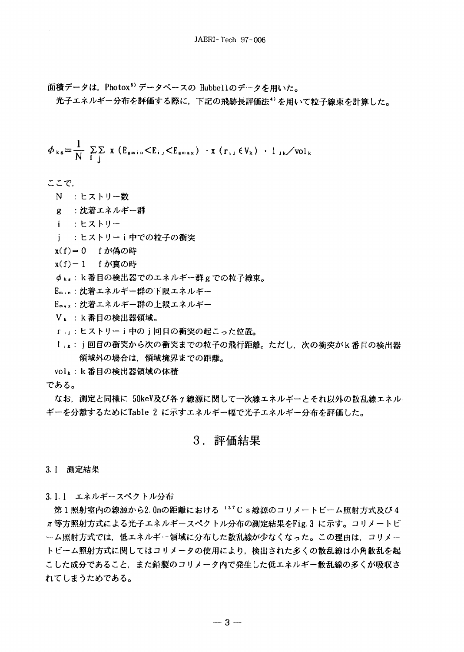面積データは、Photox<sup>8)</sup> データベースの Hubbellのデータを用いた。

光子エネルギー分布を評価する際に、下記の飛跡長評価法<sup>4)</sup>を用いて粒子線束を計算した。

$$
\phi_{\kappa s} = \frac{1}{N} \sum_{i} \sum_{j} x (E_{smin} < E_{i,j} < E_{smax}) \cdot x (r_{i,j} \in V_{\kappa}) \cdot 1_{j\kappa} / \text{vol}_{\kappa}
$$

ここで.

- N : ヒストリー数
- g : 沈着エネルギー群
- i : ヒストリー
- j: : ヒストリーi中での粒子の衝突
- $x(f) = 0$  f が偽の時
- x(f)=1 fが真の時
- $\phi$ <sub>ks</sub>:k番目の検出器でのエネルギー群gでの粒子線束。
- Emin:沈着エネルギー群の下限エネルギー
- Emax:沈着エネルギー群の上限エネルギー
- Vk: k番目の検出器領域。
- rij:ヒストリーi中のj回目の衝突の起こった位置。
- ljk:j回目の衝突から次の衝突までの粒子の飛行距離。ただし、次の衝突がk番目の検出器 領域外の場合は、領域境界までの距離。

volk:k番目の検出器領域の体積

である。

なお、測定と同様に 50keV及び各 γ 線源に関して一次線エネルギーとそれ以外の散乱線エネル ギーを分離するためにTable 2 に示すエネルギー幅で光子エネルギー分布を評価した。

# 3. 評価結果

3.1 測定結果

3.1.1 エネルギースペクトル分布

第1照射室内の線源から2.0mの距離における 137Cs線源のコリメートビーム照射方式及び4 π等方照射方式による光子エネルギースペクトル分布の測定結果をFig. 3 に示す。コリメートビ 一ム照射方式では、低エネルギー領域に分布した散乱線が少なくなった。この理由は、コリメー トビーム照射方式に関してはコリメータの使用により,検出された多くの散乱線は小角散乱を起 こした成分であること、また鉛製のコリメータ内で発生した低エネルギー散乱線の多くが吸収さ れてしまうためである。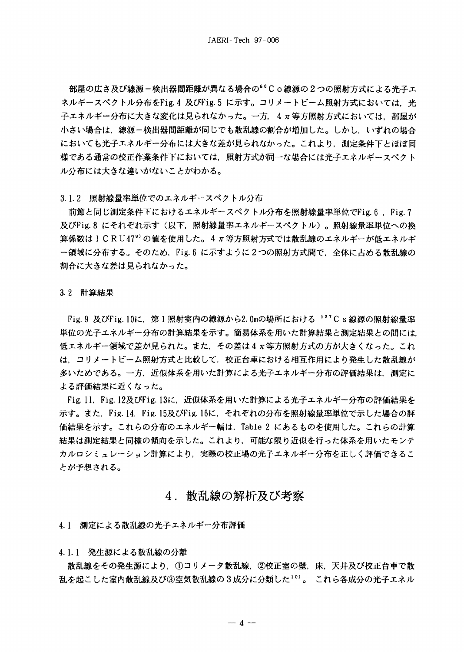部屋の広さ及び線源-検出器間距離が異なる場合の<sup>60</sup>Co線源の2つの照射方式による光子エ ネルギースペクトル分布をFig.4 及びFig.5 に示す。コリメートビーム照射方式においては、光 子エネルギー分布に大きな変化は見られなかった。一方,4π等方照射方式においては,部屋が 小さい場合は、線源-検出器間距離が同じでも散乱線の割合が増加した。しかし、いずれの場合 においても光子エネルギー分布には大きな差が見られなかった。これより、測定条件下とほぼ同 様である通常の校正作業条件下においては,照射方式が同一な場合には光子エネルギースペクト ル分布には大きな違いがないことがわかる。

#### 3.1.2 照射線量率単位でのエネルギースペクトル分布

前節と同じ測定条件下におけるエネルギースペクトル分布を照射線量率単位でFig.6, Fig.7 及びFig. 8 にそれぞれ示す (以下,照射線量率エネルギースペクトル)。照射線量率単位への換 算係数は I C R U 47<sup>9</sup> の値を使用した。4 π等方照射方式では散乱線のエネルギーが低エネルギ ー領域に分布する。そのため,Fig. 6 に示すように2つの照射方式間で,全体に占める散乱線の 割合に大きな差は見られなかった。

#### 3.2 計算結果

Fig. 9 及びFig. 10に、第1照射室内の線源から2.0mの場所における <sup>137</sup>Cs線源の照射線量率 単位の光子エネルギー分布の計算結果を示す。簡易体系を用いた計算結果と測定結果との間には 低エネルギー領域で差が見られた。また、その差は4π等方照射方式の方が大きくなった。これ は、コリメートビーム照射方式と比較して、校正台車における相互作用により発生した散乱線が 多いためである。一方、近似体系を用いた計算による光子エネルギー分布の評価結果は、測定に よる評価結果に近くなった。

Fig. 11, Fig. 12及びFig. 13に,近似体系を用いた計算による光子エネルギー分布の評価結果を 示す。また、Fig. 14, Fig. 15及びFig. 16に,それぞれの分布を照射線量率単位で示した場合の評 価結果を示す。これらの分布のエネルギー幅は、Table 2 にあるものを使用した。これらの計算 結果は測定結果と同様の傾向を示した。これより,可能な限り近似を行った体系を用いたモンテ カルロシミュレーション計算により,実際の校正場の光子エネルギー分布を正しく評価できるこ とが予想される。

## 4.散乱線の解析及び考察

41 測定による散乱線の光子エネルギー分布評価

### 4.1.1 発生源による散乱線の分離

散乱線をその発生源により,①コリメータ散乱線,②校正室の壁,床,天井及び校正台車で散 乱を起こした室内散乱線及び③空気散乱線の3成分に分類した10)。これら各成分の光子エネル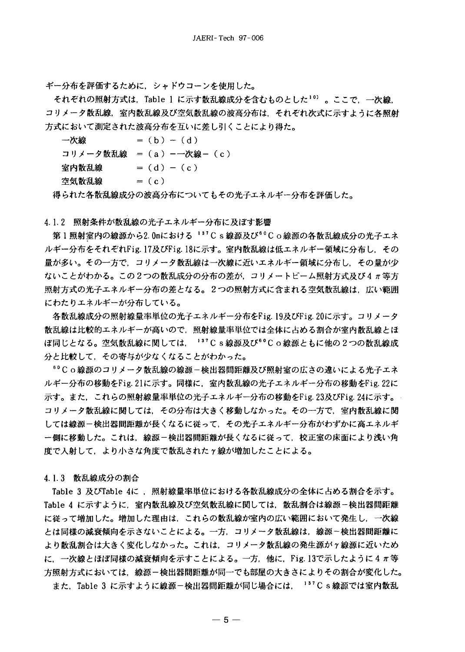ギー分布を評価するために、シャドウコーンを使用した。

それぞれの照射方式は、Table 1 に示す散乱線成分を含むものとした<sup>10)</sup> 。ここで. 一次線. コリメータ散乱線,室内散乱線及び空気散乱線の波高分布は、それぞれ次式に示すように各照射 方式において測定された波高分布を互いに差し引くことにより得た。

一次線  $= (b) - (d)$ コリメータ散乱線 = (a) --次線- (c)  $= (d) - (c)$ 室内散乱線 空気散乱線  $= (c)$ 

得られた各散乱線成分の波高分布についてもその光子エネルギー分布を評価した。

4.1.2 照射条件が散乱線の光子エネルギー分布に及ぼす影響

第1照射室内の線源から2.0mにおける 137Cs線源及び60Co線源の各散乱線成分の光子エネ ルギー分布をそれぞれFig. 17及びFig. 18に示す。室内散乱線は低エネルギー領域に分布し、その 量が多い。その一方で、コリメータ散乱線は一次線に近いエネルギー領域に分布し、その量が少 ないことがわかる。この2つの散乱成分の分布の差が、コリメートビーム照射方式及び4π等方 照射方式の光子エネルギー分布の差となる。2つの照射方式に含まれる空気散乱線は,広い範囲 にわたりエネルギーが分布している。

各散乱線成分の照射線量率単位の光子エネルギー分布をFig. 19及びFig. 20に示す。コリメータ 散乱線は比較的エネルギーが高いので、照射線量率単位では全体に占める割合が室内散乱線とほ ぼ同じとなる。空気散乱線に関しては、137Cs線源及び60Co線源ともに他の2つの散乱線成 分と比較して、その寄与が少なくなることがわかった。

<sup>60</sup>Co線源のコリメータ散乱線の線源-検出器間距離及び照射室の広さの違いによる光子エネ ルギー分布の移動をFig. 21に示す。同様に,室内散乱線の光子エネルギー分布の移動をFig. 22に 示す。また,これらの照射線量率単位の光子エネルギー分布の移動をFig. 23及びFig. 24に示す。 コリメータ散乱線に関しては,その分布は大きく移動しなかった。その一方で,室内散乱線に関 しては線源-検出器間距離が長くなるに従って、その光子エネルギー分布がわずかに高エネルギ 一側に移動した。これは,線源-検出器間距離が長くなるに従って,校正室の床面により浅い角 度で入射して、より小さな角度で散乱された γ 線が増加したことによる。

4.1.3 散乱線成分の割合

Table 3 及びTable 4に , 照射線量率単位における各散乱線成分の全体に占める割合を示す。 Table 4 に示すように、室内散乱線及び空気散乱線に関しては、散乱割合は線源ー検出器間距離 に従って増加した。増加した理由は,これらの散乱線が室内の広い範囲において発生し,一次線 とは同様の減衰傾向を示さないことによる。一方,コリメータ散乱線は,線源~検出器間距離に より散乱割合は大きく変化しなかった。これは,コリメータ散乱線の発生源がヶ線源に近いため に. 一次線とほぼ同様の減衰傾向を示すことによる。一方. 他に, Fig. 13で示したように 4 π等 方照射方式においては、線源-検出器間距離が同一でも部屋の大きさによりその割合が変化した。 また、Table 3 に示すように線源-検出器間距離が同じ場合には、 137 C s 線源では室内散乱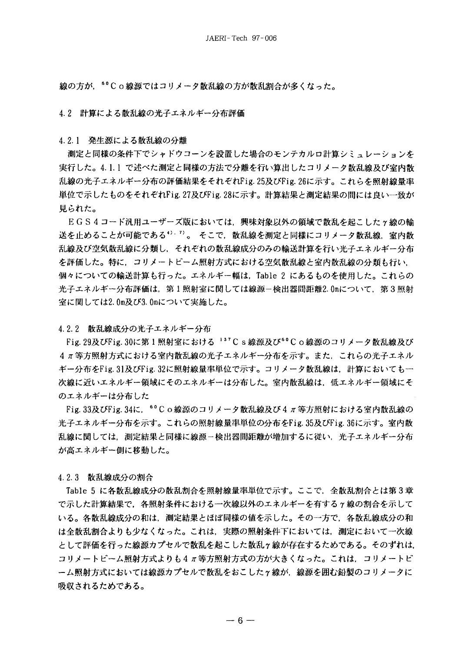線の方が,<sup>60</sup>Co線源ではコリメータ散乱線の方が散乱割合が多くなった。

4.2 計算による散乱線の光子エネルギー分布評価

4.2.1 発生源による散乱線の分離

測定と同様の条件下でシャドウコーンを設置した場合のモンテカルロ計算シミュレーションを 実行した。4.1.1 で述べた測定と同様の方法で分離を行い算出したコリメータ散乱線及び室内散 乱線の光子エネルギー分布の評価結果をそれぞれFig. 25及びFig. 26に示す。これらを照射線量率 単位で示したものをそれぞれFig. 27及びFig. 28に示す。計算結果と測定結果の間には良い一致が 見られた。

EGS4コード汎用ユーザーズ版においては、興味対象以外の領域で散乱を起こした r 線の輪 送を止めることが可能である<sup>4). 7</sup>)。 そこで、散乱線を測定と同様にコリメータ散乱線、室内散 乱線及び空気散乱線に分類し,それぞれの散乱線成分のみの輸送計算を行い光子エネルギー分布 を評価した。特に、コリメートビーム照射方式における空気散乱線と室内散乱線の分類も行い、 個々についての輸送計算も行った。エネルギー幅は,Table 2 にあるものを使用した。これらの 光子エネルギー分布評価は,第1照射室に関しては線源-検出器間距離2.0mについて,第3照射 室に関しては2.0m及び3.0mについて実施した。

4.2.2 散乱線成分の光子エネルギー分布

Fig. 29及びFig. 30に第1照射室における <sup>137</sup>C s 線源及び<sup>60</sup>C o 線源のコリメータ散乱線及び 4 π等方照射方式における室内散乱線の光子エネルギー分布を示す。また、これらの光子エネル ギー分布をFig. 31及びFig. 32に照射線量率単位で示す。コリメータ散乱線は、計算においても一 次線に近いエネルギー領域にそのエネルギーは分布した。室内散乱線は,低エネルギー領域にそ のエネルギーは分布した

Fig. 33及びFig. 34に、<sup>60</sup>C o 線源のコリメータ散乱線及び4 π等方照射における室内散乱線の 光子エネルギー分布を示す。これらの照射線量率単位の分布をFig. 35及びFig. 36に示す。室内散 乱線に関しては,測定結果と同様に線源-検出器間距離が増加するに従い,光子エネルギー分布 が高エネルギー側に移動した。

4.2.3 散乱線成分の割合

Table 5 に各散乱線成分の散乱割合を照射線量率単位で示す。ここで,全散乱割合とは第3章 で示した計算結果で,各照射条件における一次線以外のエネルギーを有するγ線の割合を示して いる。各散乱線成分の和は、測定結果とほぼ同様の値を示した。その一方で、各散乱線成分の和 は全散乱割合よりも少なくなった。これは,実際の照射条件下においては,測定において一次線 として評価を行った線源カプセルで散乱を起こした散乱γ線が存在するためである。そのずれは, コリメートビーム照射方式よりも4π等方照射方式の方が大きくなった。これは,コリメートビ ーム照射方式においては線源カプセルで散乱をおこしたヶ線が、線源を囲む鉛製のコリメータに 吸収されるためである。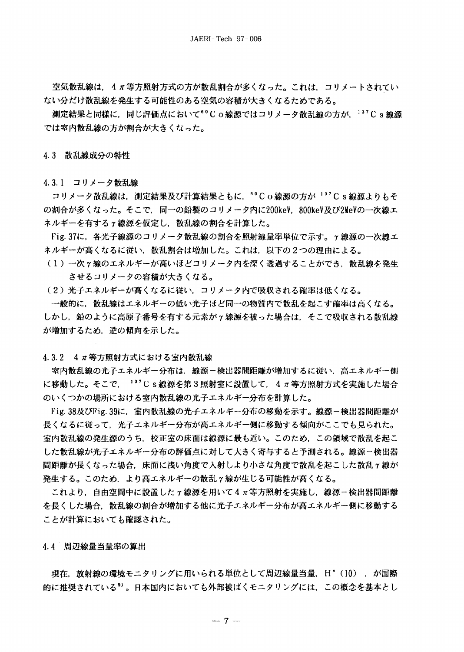空気散乱線は,4π等方照射方式の方が散乱割合が多くなった。これは,コリメートされてい ない分だけ散乱線を発生する可能性のある空気の容積が大きくなるためである。

測定結果と同様に、同じ評価点において<sup>60</sup>Co線源ではコリメータ散乱線の方が、137Cs線源 では室内散乱線の方が割合が大きくなった。

4.3 散乱線成分の特性

4.3.1 コリメータ散乱線

コリメータ散乱線は、測定結果及び計算結果ともに、60Co線源の方が<sup>137</sup>Cs線源よりもそ の割合が多くなった。そこで,同一の鉛製のコリメータ内に200keV,800keV及び2MeVの一次線エ ネルギーを有するγ線源を仮定し、散乱線の割合を計算した。

Fig. 37に,各光子線源のコリメータ散乱線の割合を照射線量率単位で示す。γ線源の一次線エ ネルギーが高くなるに従い,散乱割合は増加した。これは,以下の2つの理由による。

- (1)一次ヶ線のエネルギーが高いほどコリメータ内を深く透過することができ,散乱線を発生 させるコリメータの容積が大きくなる。
- (2)光子エネルギーが高くなるに従い,コリメータ内で吸収される確率は低くなる。

一般的に、散乱線はエネルギーの低い光子ほど同一の物質内で散乱を起こす確率は高くなる。 しかし, 鉛のように高原子番号を有する元素が γ 線源を被った場合は、そこで吸収される散乱線 が増加するため、逆の傾向を示した。

4.3.2 4 π等方照射方式における室内散乱線

室内散乱線の光子エネルギー分布は,線源-検出器間距離が増加するに従い,高エネルギー側 に移動した。そこで、 $137C$  s 線源を第3照射室に設置して、4 π等方照射方式を実施した場合 のいくつかの場所における室内散乱線の光子エネルギー分布を計算した。

Fig. 38及びFig. 39に、室内散乱線の光子エネルギー分布の移動を示す。線源-検出器間距離が 長くなるに従って,光子エネルギー分布が高エネルギー側に移動する傾向がここでも見られた。 室内散乱線の発生源のうち、校正室の床面は線源に最も近い。このため、この領域で散乱を起こ した散乱線が光子エネルギー分布の評価点に対して大きく寄与すると予測される。線源-検出器 間距離が長くなった場合、床面に浅い角度で入射しより小さな角度で散乱を起こした散乱γ線が 発生する。このため,より高エネルギーの散乱γ線が生じる可能性が高くなる。

これより,自由空間中に設置したγ線源を用いて4π等方照射を実施し,線源-検出器間距離 を長くした場合、散乱線の割合が増加する他に光子エネルギー分布が高エネルギー側に移動する ことが計算においても確認された。

4.4 周辺線量当量率の算出

現在, 放射線の環境モニタリングに用いられる単位として周辺線量当量, H\* (10), が国際 的に推奨されている<sup>9)</sup>。日本国内においても外部被ばくモニタリングには、この概念を基本とし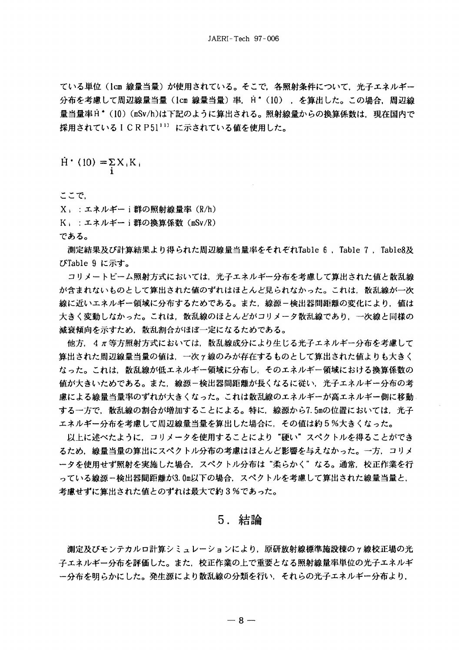ている単位(lcm 線量当量)が使用されている。そこで,各照射条件について,光子エネルギー 分布を考慮して周辺線量当量 (1cm 線量当量) 率, H<sup>\*</sup> (10) , を算出した。この場合, 周辺線 量当量率H \* (10) (mSv/h)は下記のように算出される。照射線量からの換算係数は,現在国内で 採用されているICRP5111)に示されている値を使用した。

 $\dot{H}$  (10) =  $\Sigma X_i K_i$ 

ここで,

X」:エネルギーi群の照射線量率 (R/h) K」:エネルギーi群の換算係数 (mSv/R) である。

測定結果及び計算結果より得られた周辺線量当量率をそれぞれTable 6 , Table 7 , Table8及 びTable 9 に示す。

コリメートビーム照射方式においては、光子エネルギー分布を考慮して算出された値と散乱線 が含まれないものとして算出された値のずれはほとんど見られなかった。これは,散乱線が一次 線に近いエネルギー領域に分布するためである。また,線源-検出器間距離の変化により,値は 大きく変動しなかった。これは,散乱線のほとんどがコリメータ散乱線であり,一次線と同様の 減衰傾向を示すため,散乱割合がほぼ一定になるためである。

他方, 4π等方照射方式においては, 散乱線成分により生じる光子エネルギー分布を考慮して 算出された周辺線量当量の値は,一次ヶ線のみが存在するものとして算出された値よりも大きく なった。これは,散乱線が低エネルギー領域に分布し,そのエネルギー領域における換算係数の 値が大きいためである。また,線源-検出器間距離が長くなるに従い,光子エネルギー分布の考 慮による線量当量率のずれが大きくなった。これは散乱線のエネルギーが高エネルギー側に移動 する一方で,散乱線の割合が増加することによる。特に,線源から7.5mの位置においては,光子 エネルギー分布を考慮して周辺線量当量を算出した場合に、その値は約5%大きくなった。

|以上に述べたように,コリメータを使用することにより"硬い"スペクトルを得ることができ るため,線量当量の算出にスペクトル分布の考慮はほとんど影響を与えなかった。一方,コリメ ータを使用せず照射を実施した場合,スペクトル分布は"柔らかく"なる。通常,校正作業を行 っている線源-検出器間距離が3.0m以下の場合, スペクトルを考慮して算出された線量当量と, 考慮せずに算出された値とのずれは最大で約3%であった。

# 5. 結論

測定及びモンテカルロ計算シミュレーションにより,原研放射線標準施設棟のγ線校正場の光 子エネルギー分布を評価した。また,校正作業の上で重要となる照射線量率単位の光子エネルギ ー分布を明らかにした。発生源により散乱線の分類を行い,それらの光子エネルギー分布より,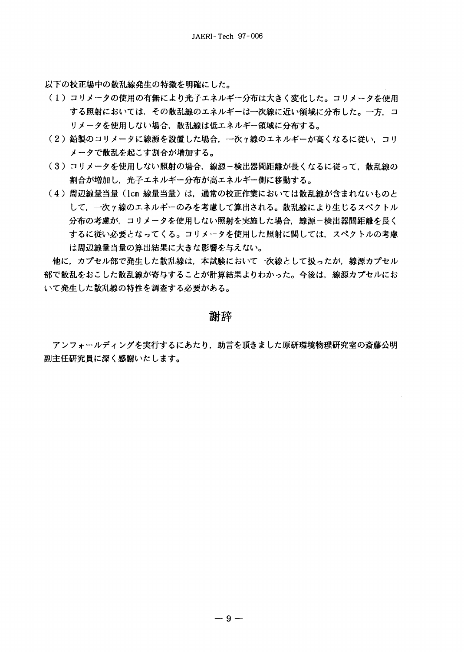以下の校正場中の散乱線発生の特徴を明確にした。

- (1) コリメータの使用の有無により光子エネルギー分布は大きく変化した。コリメータを使用 する照射においては、その散乱線のエネルギーは一次線に近い領域に分布した。一方、コ リメータを使用しない場合、散乱線は低エネルギー領域に分布する。
- (2) 鉛製のコリメータに線源を設置した場合、一次ヶ線のエネルギーが高くなるに従い、コリ メータで散乱を起こす割合が増加する。
- (3) コリメータを使用しない照射の場合, 線源-検出器間距離が長くなるに従って, 散乱線の 割合が増加し、光子エネルギー分布が高エネルギー側に移動する。
- (4) 周辺線量当量 (lcm 線量当量) は、通常の校正作業においては散乱線が含まれないものと して、一次ヶ線のエネルギーのみを考慮して算出される。散乱線により生じるスペクトル 分布の考慮が,コリメータを使用しない照射を実施した場合,線源-検出器間距離を長く するに従い必要となってくる。コリメータを使用した照射に関しては、スペクトルの考慮 は周辺線量当量の算出結果に大きな影響を与えない。

他に、カプセル部で発生した散乱線は、本試験において一次線として扱ったが、線源カプセル 部で散乱をおこした散乱線が寄与することが計算結果よりわかった。今後は、線源カプセルにお いて発生した散乱線の特性を調査する必要がある。

謝辞

アンフォールディングを実行するにあたり、助言を頂きました原研環境物理研究室の斎藤公明 副主任研究員に深く感謝いたします。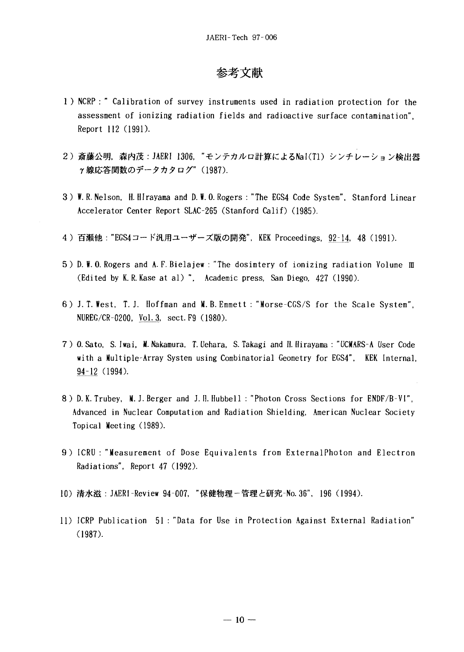# 参考文献

- 1 ) NCRP : " Calibration of survey instruments used in radiation protection for the assessment of ionizing radiation fields and radioactive surface contamination", Report 112 (1991).
- 2) 斎藤公明, 森内茂:JAERI 1306, "モンテカルロ計算によるNaI(T1) シンチレーション検出器  $\gamma$ 線応答関数のデータカタログ" (1987).
- 3) W. R. Nelson, H. HIrayama and D. W. 0. Rogers : "The EGS4 Code System". Stanford Linear Accelerator Center Report SLAC-265 (Stanford Calif) (1985).
- 4) 百瀬他:"EGS4コード汎用ユーザーズ版の開発", KEK Proceedings, 92–14, 48 (1991).
- 5) D. W. 0. Rogers and A. F. Bielajew : "The dosimtery of ionizing radiation Volume m (Edited by K. R. Kase at al) ", Academic press, San Diego, 427 (1990).
- 6) J.T. West, T.J. Hoffman and M.B. Emmett : "Morse-CGS/S for the Scale System", NUREG/CR-0200, Vol. 3, sect. F9 (1980).
- 7 ) O.Sato, S. Iwai, M. Nakamura, T. Uehara, S. Takagi and II. Hirayama : "UCMARS-A User Code with a Multiple-Array System using Combinatorial Geometry for EGS4", KEK Internal, 94-12 (1994).
- 8) D. K. Trubey, M. J. Berger and J. I!. Hubbell : "Photon Cross Sections for ENDF/B-VI", Advanced in Nuclear Computation and Radiation Shielding, American Nuclear Society Topical Meeting (1989).
- 9) ICRU : "Measurement of Dose Equivalents from ExternalPhoton and Electron Radiations", Report 47 (1992).
- 10) 清水滋:JAERI-Review 94-007, "保健物理-管理と研究-No.36", 196 (1994).
- 11) ICRP Publication 51 : "Data for Use in Protection Against External Radiation" (1987).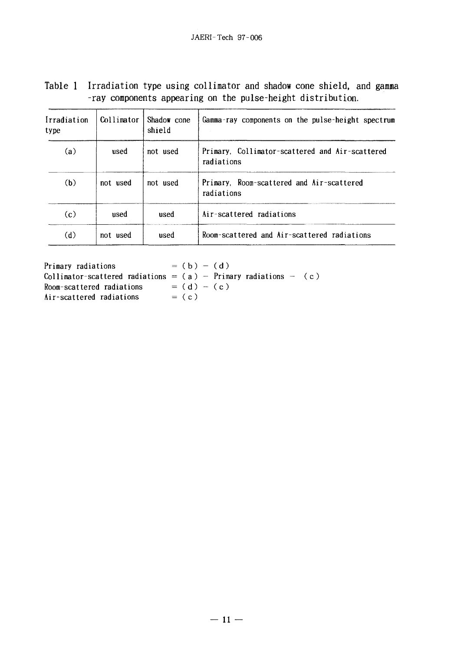| Table 1 Irradiation type using collimator and shadow cone shield, and gamma |
|-----------------------------------------------------------------------------|
| -ray components appearing on the pulse-height distribution.                 |

| Irradiation<br>type | Collimator | Shadow cone<br>shield | Gamma-ray components on the pulse-height spectrum             |
|---------------------|------------|-----------------------|---------------------------------------------------------------|
| (a)                 | used       | not used              | Primary, Collimator-scattered and Air-scattered<br>radiations |
| (b)                 | not used   | not used              | Primary, Room-scattered and Air-scattered<br>radiations       |
| (c)                 | used       | used                  | Air-scattered radiations                                      |
| (d)                 | not used   | used                  | Room-scattered and Air-scattered radiations                   |

Primary radiations  $= (b) - (d)$ Collimator–scattered radiations =  $(a)$  - Primary radiations -  $(c)$ Room-scattered radiations  $= (d)$ Air-scattered radiations  $= (c)$ 

(c)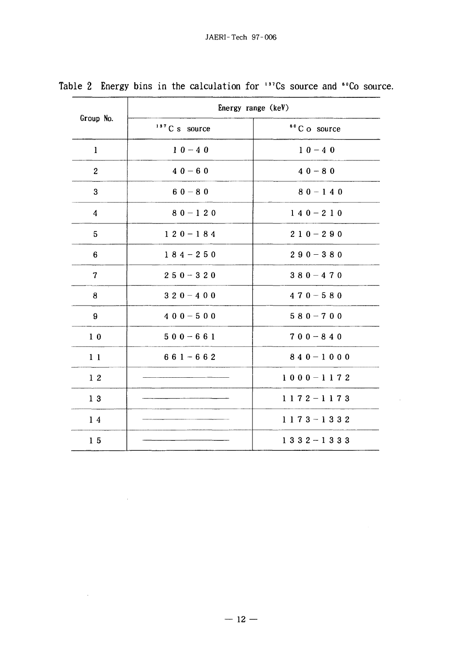| Group No.        | Energy range (keV)        |                          |  |  |  |
|------------------|---------------------------|--------------------------|--|--|--|
|                  | <sup>137</sup> C s source | <sup>60</sup> C o source |  |  |  |
| $\mathbf{1}$     | $10 - 40$                 | $10 - 40$                |  |  |  |
| $\boldsymbol{2}$ | $40 - 60$                 | $40 - 80$                |  |  |  |
| 3                | $60 - 80$                 | $80 - 140$               |  |  |  |
| 4                | $80 - 120$                | $140 - 210$              |  |  |  |
| 5                | $120 - 184$               | $210 - 290$              |  |  |  |
| 6                | $184 - 250$               | $290 - 380$              |  |  |  |
| $\overline{7}$   | $250 - 320$               | $380 - 470$              |  |  |  |
| 8                | $320 - 400$               | $470 - 580$              |  |  |  |
| 9                | $400 - 500$               | $580 - 700$              |  |  |  |
| 1 <sub>0</sub>   | $500 - 661$               | $700 - 840$              |  |  |  |
| 11               | $661 - 662$               | $840 - 1000$             |  |  |  |
| 12               |                           | $1000 - 1172$            |  |  |  |
| 13               |                           | $1172 - 1173$            |  |  |  |
| 14               |                           | $1173 - 1332$            |  |  |  |
| 15               |                           | $1332 - 1333$            |  |  |  |

 $\sim 400$ 

Table 2 Energy bins in the calculation for '''Cs source and ''Co source

 $\mathcal{L}^{\text{max}}_{\text{max}}$  ,  $\mathcal{L}^{\text{max}}_{\text{max}}$ 

 $\sim 10^{-1}$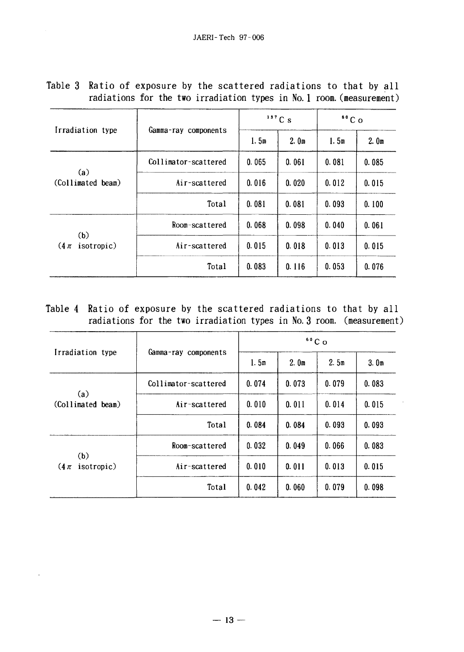| Irradiation type<br>(a)   |                      |       | $137$ C s        | 60C   |                  |
|---------------------------|----------------------|-------|------------------|-------|------------------|
|                           | Gamma-ray components | 1.5m  | 2.0 <sub>m</sub> | 1.5m  | 2.0 <sub>m</sub> |
|                           | Collimator-scattered | 0.065 | 0.061            | 0.081 | 0.085            |
| (Collimated beam)         | Air-scattered        | 0.016 | 0.020            | 0.012 | 0.015            |
|                           | Total                | 0.081 | 0.081            | 0.093 | 0.100            |
|                           | Room-scattered       | 0.068 | 0.098            | 0.040 | 0.061            |
| (b)<br>$(4\pi$ isotropic) | Air-scattered        | 0.015 | 0.018            | 0.013 | 0.015            |
|                           | Total                | 0.083 | 0.116            | 0.053 | 0.076            |

Table 3 Ratio of exposure by the scattered radiations to that by all radiations for the two irradiation types in No. 1 room, (measurement)

Table 4 Ratio of exposure by the scattered radiations to that by all radiations for the two irradiation types in No. 3 room, (measurement)

|                          |                      |       |                  | 60C <sub>O</sub>                 |       |
|--------------------------|----------------------|-------|------------------|----------------------------------|-------|
| Irradiation type         | Gamma-ray components | 1.5m  | 2.0 <sub>m</sub> | 2.5m                             | 3.0m  |
|                          | Collimator-scattered | 0.074 | 0.073            | 0.079                            | 0.083 |
| (a)<br>(Collimated beam) | Air-scattered        | 0.010 | 0.011            | 0.014                            | 0.015 |
|                          | Total                | 0.084 | 0.084            | 0.093<br>0.066<br>0.013<br>0.079 | 0.093 |
|                          | Room-scattered       | 0.032 | 0.049            |                                  | 0.083 |
| $(4\pi$ isotropic)       | Air-scattered        | 0.010 | 0.011            |                                  | 0.015 |
| (b)                      | Total                | 0.042 | 0.060            |                                  | 0.098 |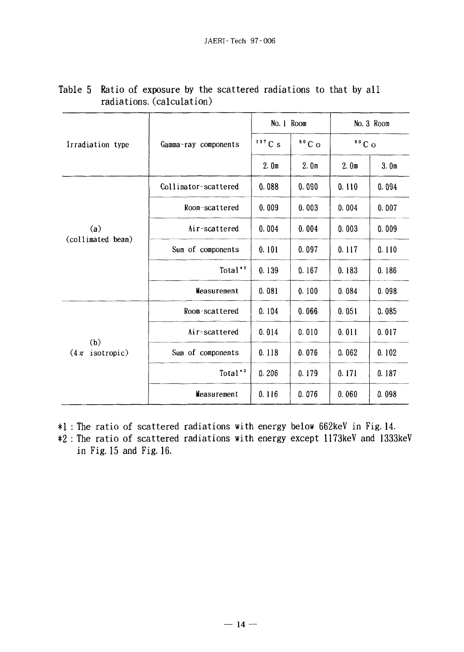|                               |                      | No. 1 Room       |                  | No. 3 Room       |                  |
|-------------------------------|----------------------|------------------|------------------|------------------|------------------|
| Irradiation type              | Gamma-ray components | 137Cs            | $60C$ O          | $60C$ O          |                  |
|                               |                      | 2.0 <sub>m</sub> | 2.0 <sub>m</sub> | 2.0 <sub>m</sub> | 3.0 <sub>m</sub> |
|                               | Collimator-scattered | 0.088            | 0.090            | 0.110            | 0.094            |
|                               | Room-scattered       | 0.009            | 0.003            | 0.004            | 0.007            |
| (a)                           | Air-scattered        | 0.004            | 0.004            | 0.003            | 0.009            |
| (collimated beam)             | Sum of components    | 0.101            | 0.097            | 0.117            | 0.110            |
|                               | Total <sup>*'</sup>  | 0.139            | 0.167            | 0.183            | 0.186            |
|                               | Measurement          | 0.081            | 0.100            | 0.084            | 0.098            |
|                               | Room-scattered       | 0.104            | 0.066            | 0.051            | 0.085            |
|                               | Air-scattered        | 0.014            | 0.010            | 0.011            | 0.017            |
| (b)<br>isotropic)<br>$(4 \pi$ | Sum of components    | 0.118            | 0.076            | 0.062            | 0.102            |
|                               | Total <sup>*2</sup>  | 0.206            | 0.179            | 0.171            | 0.187            |
|                               | Weasurement          | 0.116            | 0.076            | 0.060            | 0.098            |

# Table 5 Ratio of exposure by the scattered radiations to that by all radiations, (calculation)

\*1 : The ratio of scattered radiations with energy below 662keV in Fig. 14. \*2 : The ratio of scattered radiations with energy except 1173keV and 1333keV in Fig. 15 and Fig. 16.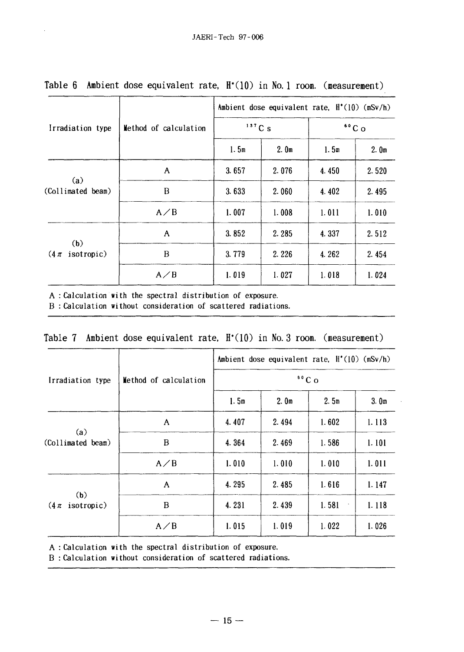|                                |                       | Ambient dose equivalent rate, $H'(10)$ (mSv/h)                                                                                                                                                                                                 |  |  |                  |  |  |  |
|--------------------------------|-----------------------|------------------------------------------------------------------------------------------------------------------------------------------------------------------------------------------------------------------------------------------------|--|--|------------------|--|--|--|
| Irradiation type               | Method of calculation | $137C_S$<br>$60^{\circ}$ C o<br>1.5m<br>2.0 <sub>m</sub><br>1.5 <sub>m</sub><br>3.657<br>2.076<br>4.450<br>3.633<br>2.060<br>4.402<br>1.007<br>1.008<br>1.011<br>3.852<br>2.285<br>4.337<br>3.779<br>2.226<br>4.262<br>1.019<br>1.027<br>1.018 |  |  |                  |  |  |  |
|                                |                       |                                                                                                                                                                                                                                                |  |  | 2.0 <sub>m</sub> |  |  |  |
|                                | A                     |                                                                                                                                                                                                                                                |  |  | 2.520            |  |  |  |
| (a)<br>(Collimated beam)       | B                     |                                                                                                                                                                                                                                                |  |  | 2.495            |  |  |  |
|                                | $A \angle B$          |                                                                                                                                                                                                                                                |  |  | 1.010            |  |  |  |
|                                | $\mathbf{A}$          |                                                                                                                                                                                                                                                |  |  | 2.512            |  |  |  |
| (b)<br>isotropic)<br>$(4 \pi)$ | B                     |                                                                                                                                                                                                                                                |  |  | 2.454            |  |  |  |
|                                | $A \angle B$          |                                                                                                                                                                                                                                                |  |  | 1.024            |  |  |  |

# Table 6 Ambient dose equivalent rate, H<sup>\*</sup>(10) in No. 1 room. (measurement)

A : Calculation with the spectral distribution of exposure.

 $\bar{z}$ 

B : Calculation without consideration of scattered radiations.

|  |  |  |  |  |  |  |  | Table 7 Ambient dose equivalent rate, $H^*(10)$ in No. 3 room. (measurement) |
|--|--|--|--|--|--|--|--|------------------------------------------------------------------------------|
|--|--|--|--|--|--|--|--|------------------------------------------------------------------------------|

|                                |                       | Ambient dose equivalent rate, $H'(10)$ (mSv/h)<br>$60C$ O                                                             |                  |       |                  |  |  |
|--------------------------------|-----------------------|-----------------------------------------------------------------------------------------------------------------------|------------------|-------|------------------|--|--|
| Irradiation type               | Method of calculation |                                                                                                                       |                  |       |                  |  |  |
|                                |                       | 1.5m                                                                                                                  | 2.0 <sub>m</sub> | 2.5m  | 3.0 <sub>m</sub> |  |  |
|                                | A                     | 4.407                                                                                                                 | 2.494            | 1.602 | 1.113            |  |  |
| (a)<br>(Collimated beam)       | B                     | 4.364                                                                                                                 | 2.469            | 1.586 | 1.101            |  |  |
|                                | $A \angle B$          | 1.010<br>1.010<br>1.010<br>4.295<br>1.616<br>2.485<br>4.231<br>1.581<br>2.439<br>$\bullet$<br>1.015<br>1.019<br>1.022 | 1.011            |       |                  |  |  |
|                                | A                     |                                                                                                                       |                  |       | 1.147            |  |  |
| (b)<br>$(4 \pi)$<br>isotropic) | B<br>$A \angle B$     |                                                                                                                       |                  | 1.118 |                  |  |  |
|                                |                       |                                                                                                                       |                  |       | 1.026            |  |  |

A : Calculation with the spectral distribution of exposure.

B : Calculation without consideration of scattered radiations.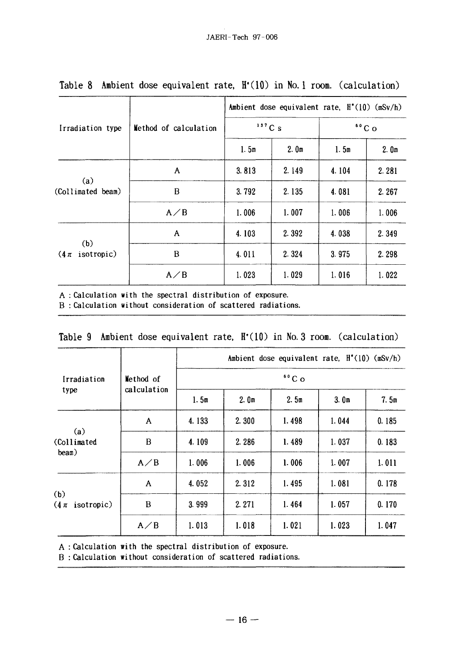|                                |                       | Ambient dose equivalent rate, $H^*(10)$ (mSv/h) |                  |                  |       |  |
|--------------------------------|-----------------------|-------------------------------------------------|------------------|------------------|-------|--|
| Irradiation type               | Method of calculation | $137C_S$                                        |                  | $60^{\circ}$ C o |       |  |
|                                |                       | 1.5m                                            | 2.0 <sub>m</sub> | 1.5m             | 2.0m  |  |
| (a)<br>(Collimated beam)       | $\mathbf{A}$          | 3.813                                           | 2.149            | 4.104            | 2.281 |  |
|                                | B                     | 3.792                                           | 2.135            | 4.081            | 2.267 |  |
|                                | $A \angle B$          | 1.006                                           | 1.007            | 1.006            | 1.006 |  |
| (b)<br>isotropic)<br>$(4 \pi)$ | A                     | 4.103                                           | 2.392            | 4.038            | 2.349 |  |
|                                | B                     | 4.011                                           | 2.324            | 3.975            | 2.298 |  |
|                                | $A \angle B$          | 1.023                                           | 1.029            | 1.016            | 1.022 |  |

Table 8 Ambient dose equivalent rate. H'(10) in No. 1 room, (calculation)

A : Calculation with the spectral distribution of exposure.

B : Calculation without consideration of scattered radiations.

|                                   |                          |                  |                  |       | Ambient dose equivalent rate, $H^*(10)$ (mSv/h) |       |  |  |
|-----------------------------------|--------------------------|------------------|------------------|-------|-------------------------------------------------|-------|--|--|
| Irradiation                       | Method of<br>calculation | $60^{\circ}$ C o |                  |       |                                                 |       |  |  |
| type                              |                          | 1.5m             | 2.0 <sub>m</sub> | 2.5m  | 3.0 <sub>m</sub>                                | 7.5m  |  |  |
| (a)<br>(Collimated<br>beam)       | A                        | 4.133            | 2.300            | 1.498 | 1.044                                           | 0.185 |  |  |
|                                   | B                        | 4.109            | 2.286            | 1.489 | 1.037                                           | 0.183 |  |  |
|                                   | $A \angle B$             | 1.006            | 1.006            | 1.006 | 1.007                                           | 1.011 |  |  |
| (b)<br>$(4\pi \text{ isotropic})$ | A                        | 4.052            | 2.312            | 1.495 | 1.081                                           | 0.178 |  |  |
|                                   | B                        | 3.999            | 2.271            | 1.464 | 1.057                                           | 0.170 |  |  |
|                                   | $A \angle B$             | 1.013            | 1.018            | 1.021 | 1.023                                           | 1.047 |  |  |

| Table 9 Ambient dose equivalent rate, $H'(10)$ in No. 3 room. (calculation) |  |  |  |
|-----------------------------------------------------------------------------|--|--|--|
|-----------------------------------------------------------------------------|--|--|--|

A : Calculation with the spectral distribution of exposure.

B : Calculation without consideration of scattered radiations.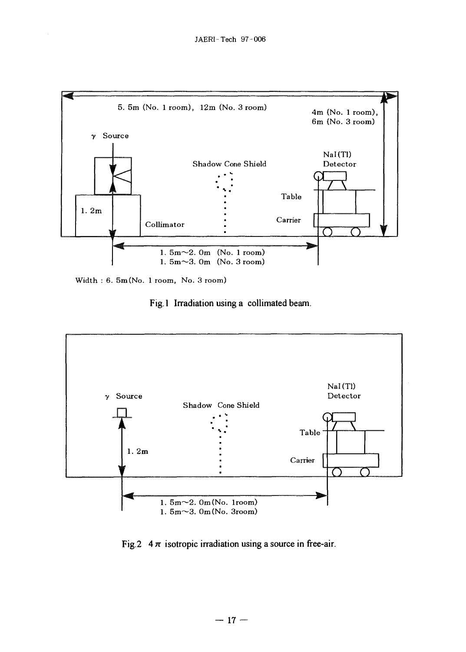

Width : 6. 5m (No. 1 room, No. 3 room)

 $\bar{\nu}$ 

Fig. 1 Irradiation using a collimated beam.



Fig.2  $4\pi$  isotropic irradiation using a source in free-air.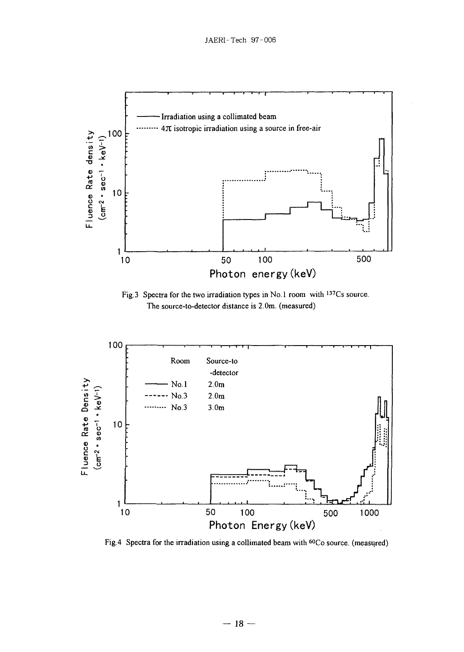

Fig. 3 Spectra for the two irradiation types in No. 1 room with <sup>137</sup>Cs source. The source-to-detector distance is 2.0m. (measured)



Fig.4 Spectra for the irradiation using a collimated beam with <sup>60</sup>Co source. (measured)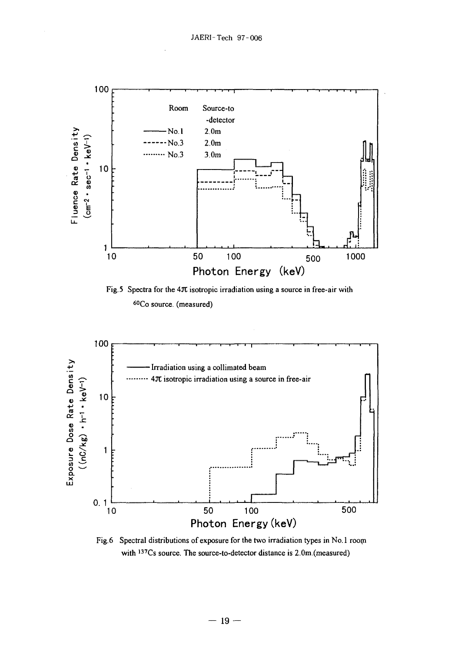

Fig.5 Spectra for the 4 $\pi$  isotropic irradiation using a source in free-air with <sup>60</sup>Co source. (measured)



Fig.6 Spectral distributions of exposure for the two irradiation types in No.1 room with <sup>137</sup>Cs source. The source-to-detector distance is 2.0m (measured)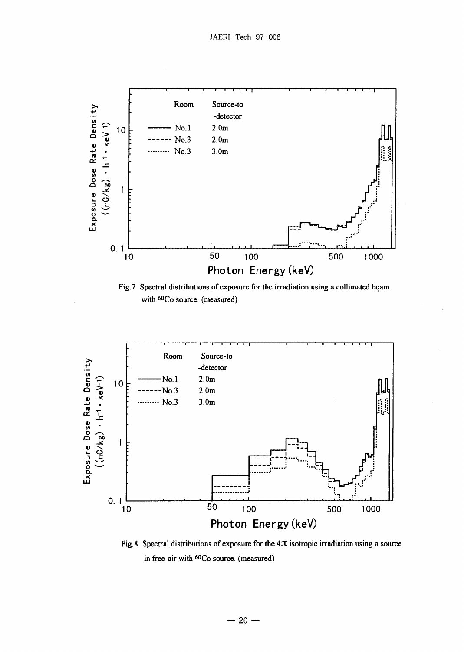

Fig.7 Spectral distributions of exposure for the irradiation using a collimated beam with <sup>60</sup>Co source, (measured)



Fig. 8 Spectral distributions of exposure for the  $4\pi$  isotropic irradiation using a source in free-air with <sup>60</sup>Co source, (measured)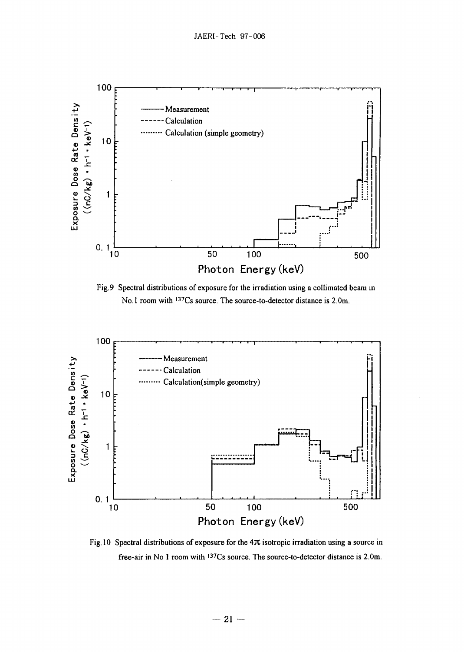

Fig.9 Spectral distributions of exposure for the irradiation using a collimated beam in No. 1 room with <sup>137</sup>Cs source. The source-to-detector distance is 2.0m.



Fig. 10 Spectral distributions of exposure for the  $4\pi$  isotropic irradiation using a source in free-air in No 1 room with <sup>137</sup>Cs source. The source-to-detector distance is 2.0m.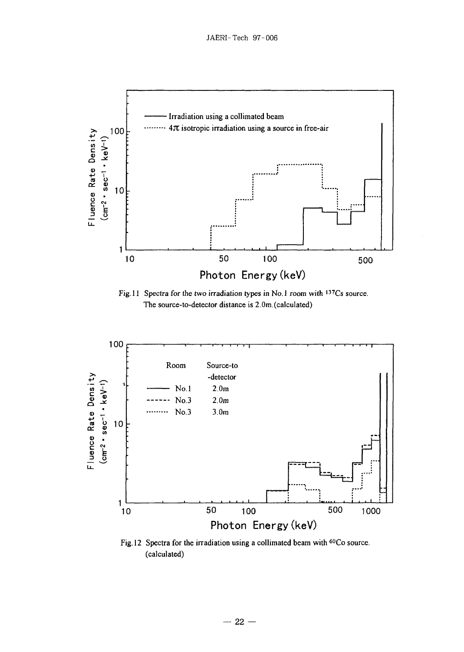

Fig.11 Spectra for the two irradiation types in No.1 room with 137Cs source. The source-to-detector distance is 2.0m.(calculated)



Fig.12 Spectra for the irradiation using a collimated beam with <sup>60</sup>Co source. (calculated)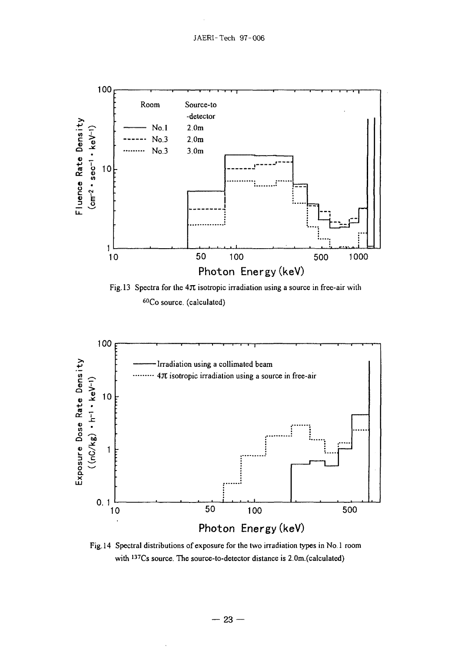

<sup>60</sup>Co source, (calculated)



Fig. 14 Spectral distributions of exposure for the two irradiation types in No. 1 room with <sup>137</sup>Cs source. The source-to-detector distance is 2.0m.(calculated)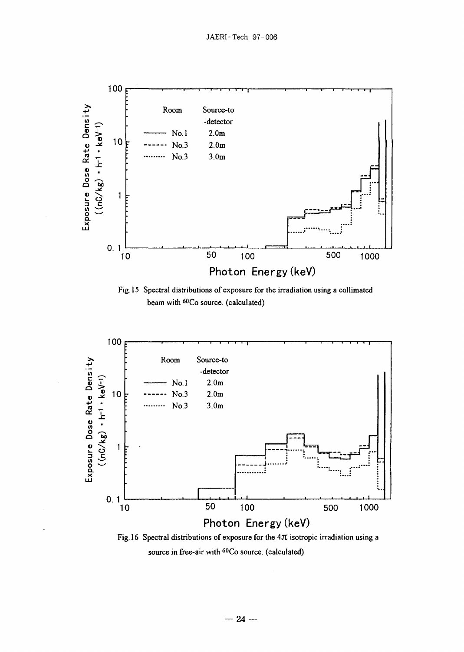

Fig. 15 Spectral distributions of exposure for the irradiation using a collimated beam with <sup>60</sup>Co source. (calculated)



Fig. 16 Spectral distributions of exposure for the 4Jt isotropic irradiation using a source in free-air with <sup>ou</sup>Co source. (calculated)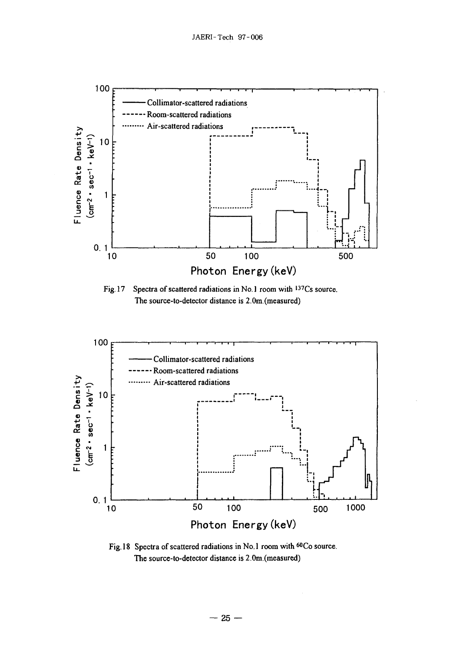

Spectra of scattered radiations in No.1 room with 137Cs source.  $Fig.17$ The source-to-detector distance is 2.0m.(measured)



Fig. 18 Spectra of scattered radiations in No.1 room with 60Co source. The source-to-detector distance is 2.0m.(measured)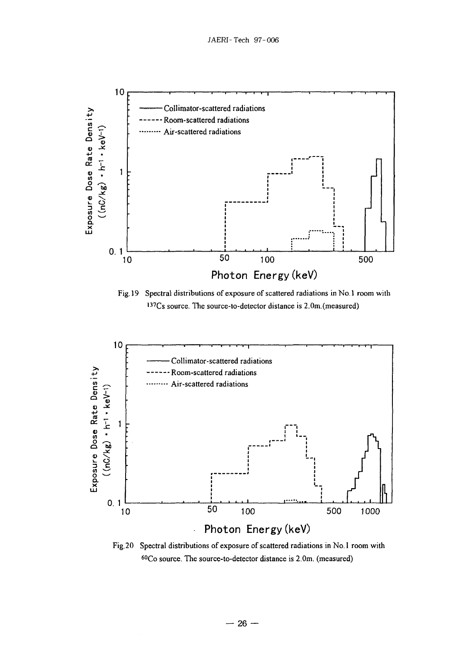

Fig. 19 Spectral distributions of exposure of scattered radiations in No. 1 room with <sup>137</sup>Cs source. The source-to-detector distance is 2.0m.(measured)



Fig. 20 Spectral distributions of exposure of scattered radiations in No. 1 room with <sup>60</sup>Co source. The source-to-detector distance is 2.0m. (measured)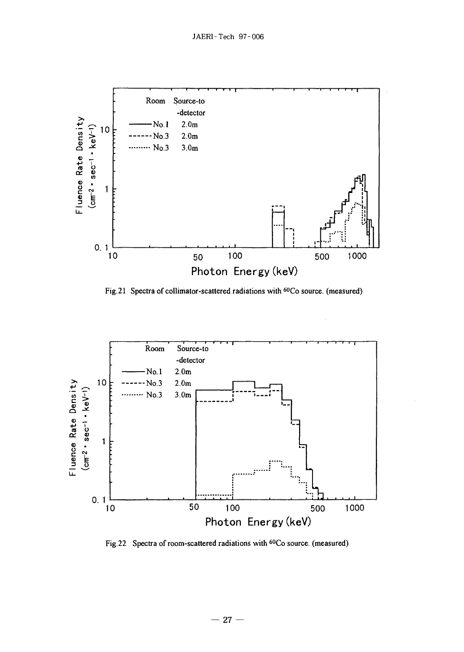

Fig.21 Spectra of collimator-scattered radiations with <sup>60</sup>Co source. (measured)



Fig. 22 Spectra of room-scattered radiations with <sup>60</sup>Co source. (measured)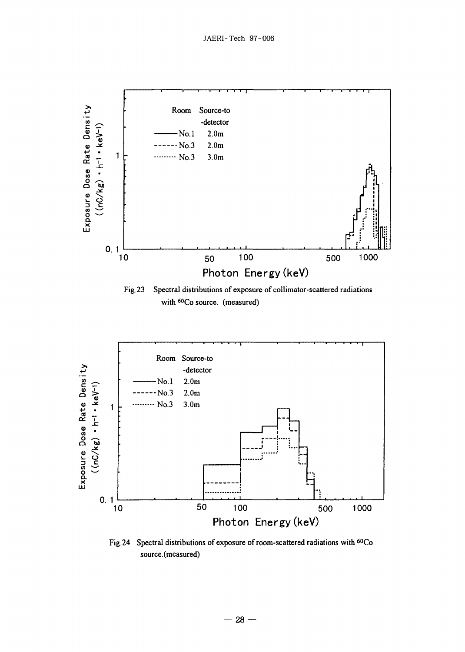

Fig. 24 Spectral distributions of exposure of room-scattered radiations with <sup>60</sup>Co source.(measured)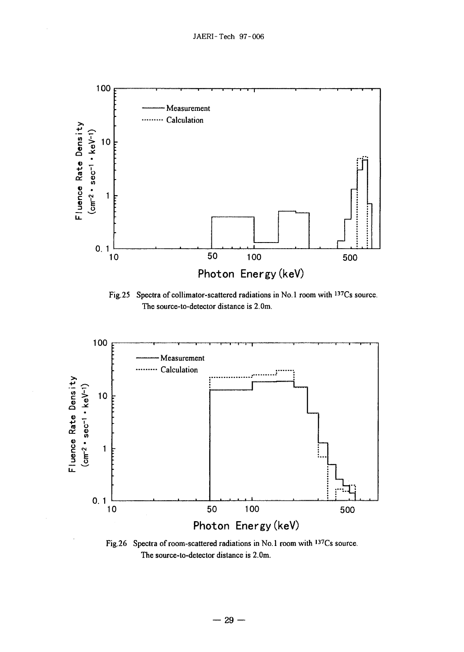

Fig. 25 Spectra of collimator-scattered radiations in No.1 room with <sup>137</sup>Cs source. The source-to-detector distance is 2.0m.



Fig. 26 Spectra of room-scattered radiations in No. 1 room with <sup>137</sup>Cs source. The source-to-detector distance is 2.0m.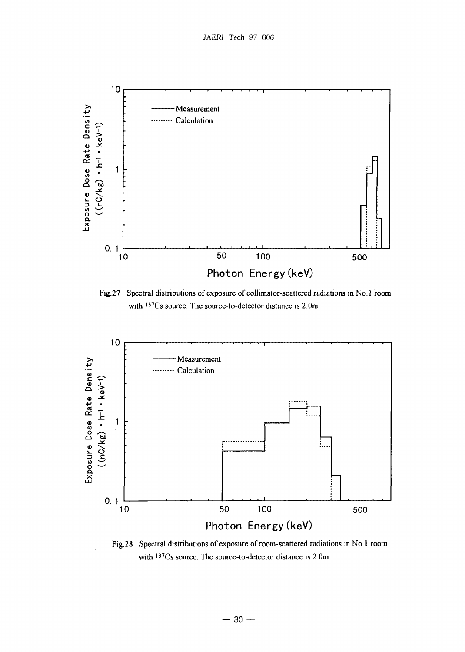

Fig.27 Spectral distributions of exposure of collimator-scattered radiations in No.1 room with <sup>137</sup>Cs source. The source-to-detector distance is 2.0m.



Fig.28 Spectral distributions of exposure of room-scattered radiations in No. 1 room with <sup>137</sup>Cs source. The source-to-detector distance is 2.0m.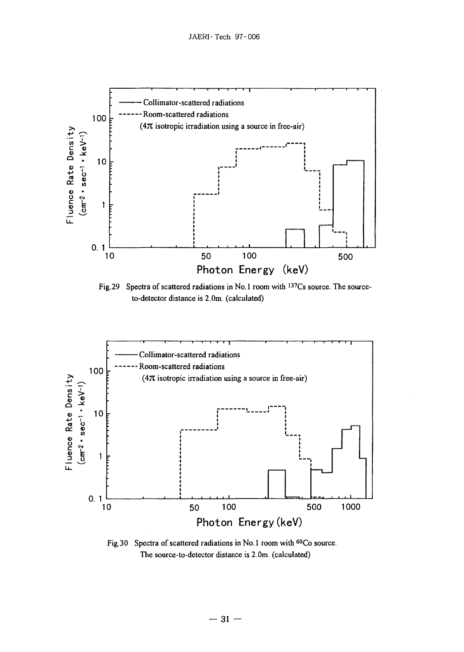

Fig.29 Spectra of scattered radiations in No.1 room with 137Cs source. The sourceto-detector distance is 2.0m. (calculated)



Fig.30 Spectra of scattered radiations in No.1 room with <sup>60</sup>Co source. The source-to-detector distance is 2.0m. (calculated)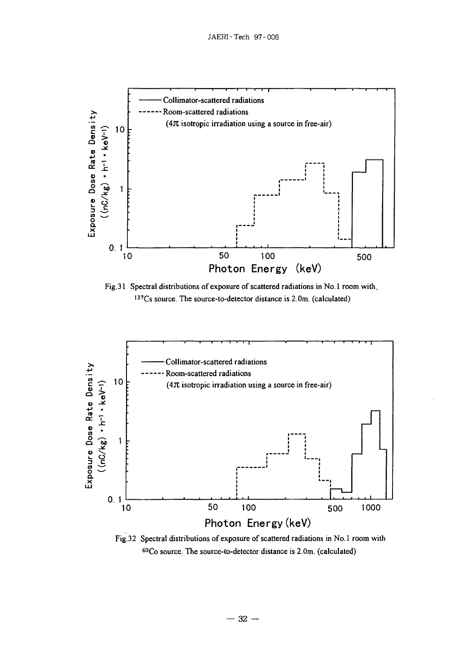

Fig.31 Spectral distributions of exposure of scattered radiations in No.l room with, I37Cs source. The source-to-detector distance is 2.0m. (calculated)



Fig.32 Spectral distributions of exposure of scattered radiations in No.l room wilh <sup>60</sup>Co source. The source-to-detector distance is 2.0m. (calculated)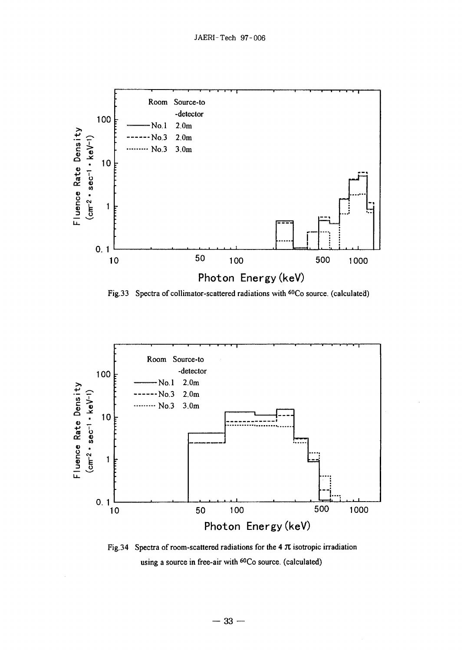

Fig.33 Spectra of collimator-scattered radiations with <sup>60</sup>Co source. (calculated)



Fig.34 Spectra of room-scattered radiations for the 4  $\pi$  isotropic irradiation using a source in free-air with <sup>60</sup>Co source. (calculated)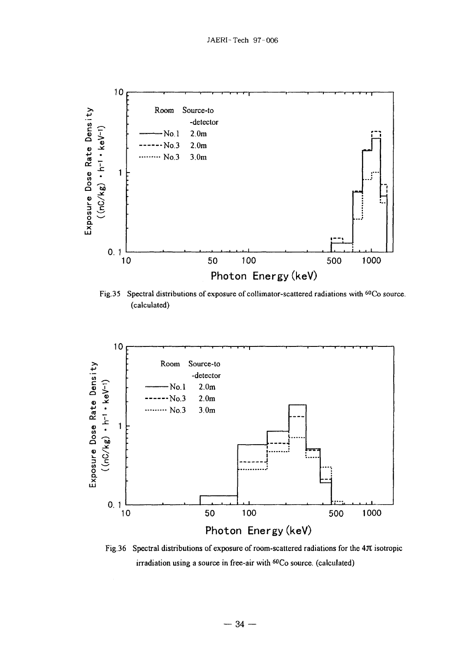

Fig.35 Spectral distributions of exposure of collimator-scattered radiations with <sup>60</sup>Co source (calculated)



Fig.36 Spectral distributions of exposure of room-scattered radiations for the  $4\pi$  isotropic irradiation using a source in free-air with <sup>60</sup>Co source, (calculated)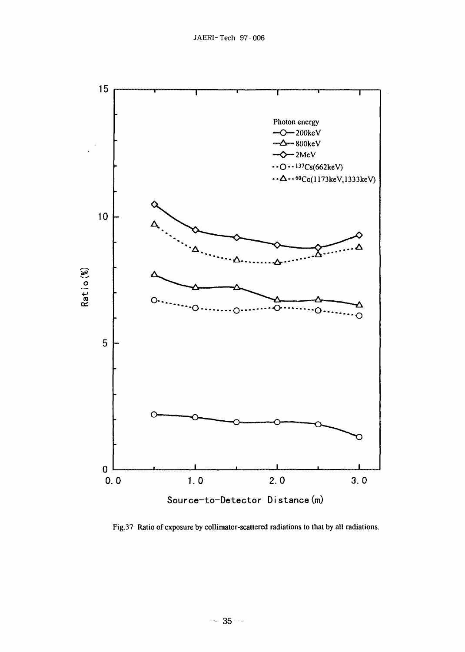

Fig.37 Ratio of exposure by collimator-scattered radiations to that by all radiations.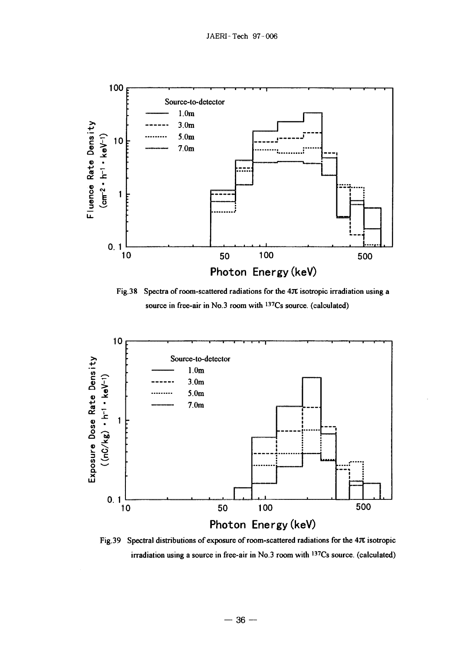

Fig. 38 Spectra of room-scattered radiations for the  $4\pi$  isotropic irradiation using a source in free-air in No.3 room with <sup>137</sup>Cs source. (calculated)



Fig.39 Spectral distributions of exposure of room-scattered radiations for the  $4\pi$  isotropic irradiation using a source in free-air in No.3 room with <sup>137</sup>Cs source. (calculated)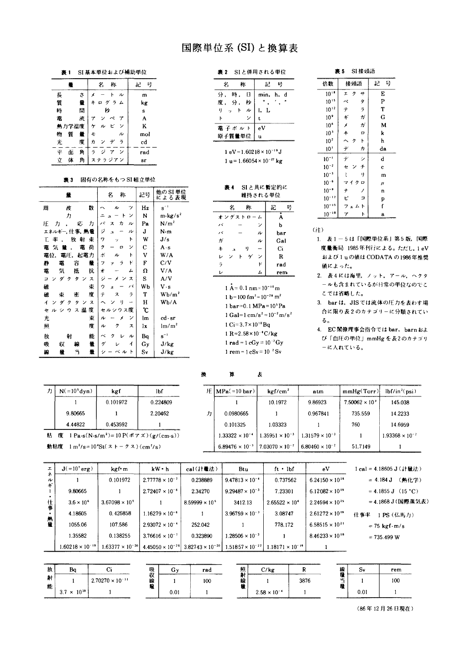# 国際単位系 (SI) と換算表

表1 SI 基本単位および補助単位

|         |   | 称<br>名                                     | 믁<br>記 |
|---------|---|--------------------------------------------|--------|
| 長       | ざ | ル                                          | m      |
| 質       | 畳 | グラム<br>$\ddagger$<br>$\Box$                | kg     |
| 時       | 間 | ÞÞ                                         | s      |
| 電       | 赤 | 7                                          | A      |
| 熱力学温度   |   | ビ<br>ン<br>ヶ<br>ル                           | K      |
| 質<br>物  | 불 | JV<br>£                                    | mol    |
| 光       | 度 | ラ<br>ヵ<br>デ<br>ン                           | cd     |
| 平<br>面  | 角 | $\overline{ }$<br>ジ<br>$\overline{r}$<br>ラ | rad    |
| 体<br>Ý. | 角 | ステラジアン                                     | sr     |

#### 衰3 固有の名称をもつ S1 組立単位

| 量                          | 名<br>称                                 | 記号  | 他の SI 単位<br>による表現       |
|----------------------------|----------------------------------------|-----|-------------------------|
| 数<br>周<br>伖                | ッ<br>ル                                 | Hz  | $\mathbf{s}^{-1}$       |
| 力                          | ン<br>ŀ                                 | N   | $m \cdot \text{kg/s}^2$ |
| Æ<br>応<br>カ<br>カ           | パ<br>ヵ<br>ス<br>ル                       | Pa  | N/m <sup>2</sup>        |
| エネルギー,仕事,熱量                | ジ<br>ル<br><sub>2</sub>                 | J   | N·m                     |
| 耒<br>放<br>射<br>率<br>Т.     | ኑ<br>7<br>Ÿ.                           | W   | J/s                     |
| 荷<br>電<br>竈<br>気<br>몰      | ク<br>ン<br>α                            | С   | $A \cdot s$             |
| 起電力<br>電圧.<br>電位,          | ポ<br>ŀ<br>ル                            | V   | W/A                     |
| 量<br>静<br>電<br>容           | R<br>ラ<br>フ                            | F   | C/V                     |
| 抗<br>竃<br>듯<br>抵           | ォ<br>┻                                 | Ω   | V/A                     |
| H<br>4<br>ス<br>Ξ<br>ク      | ジ<br>$\overline{\mathbf{x}}$<br>x<br>ン | S   | A/V                     |
| 碓<br>束                     | バ<br>ウ<br>x.                           | Wb  | V s                     |
| 度<br>碓<br>霍<br>束           | テ<br>ラ<br>ス                            | Т   | $Wb/m^2$                |
| 4<br>ダ<br>ス<br>ク<br>ヶ<br>ン | ŋ                                      | н   | Wb/A                    |
| 度<br>ス温<br>セ<br>ル<br>ゥ     | セルシウス度                                 | ο°  |                         |
| 束<br>光                     | ン<br>ル<br>х                            | lm. | cd - sr                 |
| 度<br>照                     | ク<br>ル<br>ス                            | lx. | $\rm{lm/m}^2$           |
| 能<br>放<br>射                | $\scriptstyle\sim$<br>ヶ<br>ル           | Bq  | $\rm s^{-1}$            |
| 量<br>吸<br>収<br>線           | ゲ<br>1                                 | Gy  | J/kg                    |
| ۳<br>量<br>線<br>量           | ベル<br>シ<br>F                           | S٧  | J/kg                    |

| 表 2 |  |  | SIと併用される単位 |  |  |  |  |  |
|-----|--|--|------------|--|--|--|--|--|
|-----|--|--|------------|--|--|--|--|--|

| 牀<br>2            | 룍<br>82. . |
|-------------------|------------|
| 時<br>分.<br>$\Box$ | min. h. d  |
| 度, 分,<br>一种       |            |
| ットル<br>9.         | t. L       |
|                   |            |
| 電子ボルト             | eV         |
| 原子質量単位            | 11         |

1 eV =  $1.60218 \times 10^{-19}$  J 1 u =  $1.66054 \times 10^{-27}$  kg

| 表 4 | SIと共に暫定的に |
|-----|-----------|
|     | 維持される単位   |

| 名<br>袮                                     | 용<br>記 |
|--------------------------------------------|--------|
| オングストローム                                   | A      |
| バ<br>ン                                     | b      |
| ル<br>バ                                     | bar    |
| $\overline{\nu}$<br>ガ                      | Gal    |
| $\ddagger$<br>ŋ<br>$\overline{\mathbf{a}}$ | Ci     |
| D<br>ь<br>ン<br>ゲ<br>ン                      | R      |
| $\overline{2}$<br>R                        | rad    |
| L<br>L.                                    | rem.   |

 $1 \text{ Å} = 0.1 \text{ nm} = 10^{-10} \text{ m}$ 1 b=100 fm<sup>2</sup>=10<sup>-28</sup> m<sup>2</sup>  $1 bar = 0.1 MPa = 10<sup>5</sup> Pa$ 1 Gal=1 cm/s<sup>2</sup> =  $10^{-2}$  m/s<sup>2</sup>  $1 \text{ Ci} = 3.7 \times 10^{10} \text{Bg}$  $1 R = 2.58 \times 10^{-4} C/kg$ 1 rad = 1 cGy =  $10^{-2}$  Gy 1 rem =  $1 \text{ cSv} = 10^{-2} \text{ Sv}$ 

表

衰5 SI接頭語

| 倍数              | 接頭語                 |           | 記     | 믕  |
|-----------------|---------------------|-----------|-------|----|
| $10^{14}$       | ク<br>I              | ++        | E     |    |
| $10^{15}$       | $\sim$              | ģ         | P     |    |
| $10^{12}$       | テ                   | $\bar{z}$ | T     |    |
| 10 <sup>9</sup> | ŧ                   | $\vec{v}$ |       | G  |
| 10 <sup>6</sup> | x                   | ガ         |       | M  |
| 10 <sup>3</sup> | #                   | p         | k     |    |
| 10 <sup>2</sup> | $\hat{\phantom{1}}$ | ŀ         | h     |    |
| 10 <sup>1</sup> | デ                   | ヵ         |       | da |
| $10^{-1}$       | デ                   | シ         | d     |    |
| $10^{-2}$       | ė                   | チ         | c     |    |
| $10^{-3}$       | š                   | ij.       |       | m  |
| $10^{-6}$       | マイク                 | p         | $\mu$ |    |
| $10^{-9}$       | ナ                   |           | n     |    |
| $10^{-12}$      | F,                  | Þ         | p     |    |
| $10^{-15}$      | フェム                 | ۳         | f     |    |
| $10^{-18}$      | 7                   | ŀ         | a     |    |

 $(i)$ 

- 1. 表 1-5は「国際単位系」第5版,国際 度量衡局 1985年刊行による。ただし、1eV および1uの値は CODATA の1986年推奨 値によった。
- 2. 表4には海里、ノット、アール、ヘクタ ールも含まれているが日常の単位なのでこ こでは省略した。

3. bar は、JIS では流体の圧力を表わす場 合に限り表2のカテゴリーに分類されてい  $5<sub>o</sub>$ 

4. EC閣僚理事会指令では bar, barn およ び「血圧の単位」mmHg を表2のカテゴリ ーに入れている。

| カ | $N(=10s dyn)$ | kgf                                                                                       | lbf      |
|---|---------------|-------------------------------------------------------------------------------------------|----------|
|   |               | 0.101972                                                                                  | 0.224809 |
|   | 9.80665       |                                                                                           | 2.20462  |
|   | 4.44822       | 0.453592                                                                                  |          |
|   | 度             | 1 Pa·s(N·s/m <sup>2</sup> )=10 P( $\forall$ $\forall$ $\forall$ $\forall$ )( $g$ /(cm·s)) |          |

| 動粘度 1m <sup>2</sup> /s=10'St(ストークス)(cm <sup>2</sup> /s) |
|---------------------------------------------------------|

|   | 圧   MPa( =10 bar)        | kgf/cm <sup>2</sup>      | atm                      | mmHg(Torr)              | $lbf/in^2(psi)$          |  |
|---|--------------------------|--------------------------|--------------------------|-------------------------|--------------------------|--|
|   |                          | 10.1972                  | 9.86923                  | $7.50062 \times 10^{3}$ | 145.038                  |  |
| ヵ | 0.0980665                |                          | 0.967841                 | 735.559                 | 14.2233                  |  |
|   | 0.101325                 | 1.03323                  |                          | 760                     | 14.6959                  |  |
|   | $1.33322 \times 10^{-4}$ | $1.35951 \times 10^{-3}$ | $1.31579 \times 10^{-3}$ |                         | $1.93368 \times 10^{-2}$ |  |
|   | $6.89476 \times 10^{-3}$ | $7.03070 \times 10^{-2}$ | $6.80460 \times 10^{-2}$ | 51.7149                 |                          |  |

| 工        | $J(=10^{7}$ erg)          | kgf m                     | $kW - h$                 | cal(計量法)                | Btu.                                                                          | $ft \cdot lbf$            | eV                       | 1 cal = 4.18605 J (計量法)            |
|----------|---------------------------|---------------------------|--------------------------|-------------------------|-------------------------------------------------------------------------------|---------------------------|--------------------------|------------------------------------|
| ル        |                           | 0.101972                  | $2.77778 \times 10^{-7}$ | 0.238889                | $9.47813 \times 10^{-4}$                                                      | 0.737562                  | $6.24150 \times 10^{18}$ | (熱化学)<br>$= 4.184$ J               |
| ŧ        | 9.80665                   |                           | $2.72407 \times 10^{-6}$ | 2.34270                 | $9.29487 \times 10^{-3}$                                                      | 7.23301                   | $6.12082 \times 10^{19}$ | $= 4.1855 \text{ J}$ (15 °C)       |
| 仕事<br>熱量 | $3.6 \times 10^6$         | $3.67098 \times 10^{5}$   |                          | $8.59999 \times 10^{5}$ | 3412.13                                                                       | $2.65522 \times 10^{6}$   | $2.24694 \times 10^{25}$ | = 4.1868 J (国際蒸気表)                 |
|          | 4.18605                   | 0.426858                  | $1.16279 \times 10^{-6}$ |                         | $3.96759 \times 10^{-3}$                                                      | 3.08747                   | $2.61272 \times 10^{19}$ | 什事率<br>PS (仏馬力)                    |
|          | 1055.06                   | 107.586                   | $2.93072 \times 10^{-4}$ | 252.042                 |                                                                               | 778.172                   | $6.58515 \times 10^{21}$ | $= 75 \text{ kg} \cdot \text{m/s}$ |
|          | 1.35582                   | 0.138255                  | $3.76616 \times 10^{-7}$ | 0.323890                | $1.28506 \times 10^{-3}$                                                      |                           | $8.46233 \times 10^{18}$ | $= 735.499 W$                      |
|          | $1.60218 \times 10^{-19}$ | $1.63377 \times 10^{-20}$ |                          |                         | $4.45050 \times 10^{-26}$ 3.82743 $\times 10^{-20}$ 1.51857 $\times 10^{-22}$ | $1.18171 \times 10^{-19}$ |                          |                                    |

算

换

| <b><i><u>PERSONAL PROPERTY AND IN THE OWNER.</u></i></b><br>敌 |                      | and the contract of the contract of the contract of the contract of the contract of the contract of the contract of | ----<br>吸 | ۰., | rac | 照<br>癿      | / k a                 |      | Ł£                             | ۰., | rem<br>________ |
|---------------------------------------------------------------|----------------------|---------------------------------------------------------------------------------------------------------------------|-----------|-----|-----|-------------|-----------------------|------|--------------------------------|-----|-----------------|
| 射<br>مصد                                                      |                      | $2.70270 \times 10^{-11}$                                                                                           | 収<br>線    |     | 100 | - 21 1<br>鸫 |                       | 3876 | ١Ľ<br>$\overline{\phantom{a}}$ |     | 100             |
| 彫                                                             | $3.7 \times 10^{10}$ |                                                                                                                     | н.        | 0.0 |     |             | $2.58 \times 10^{-4}$ |      |                                | 9.0 | _________       |